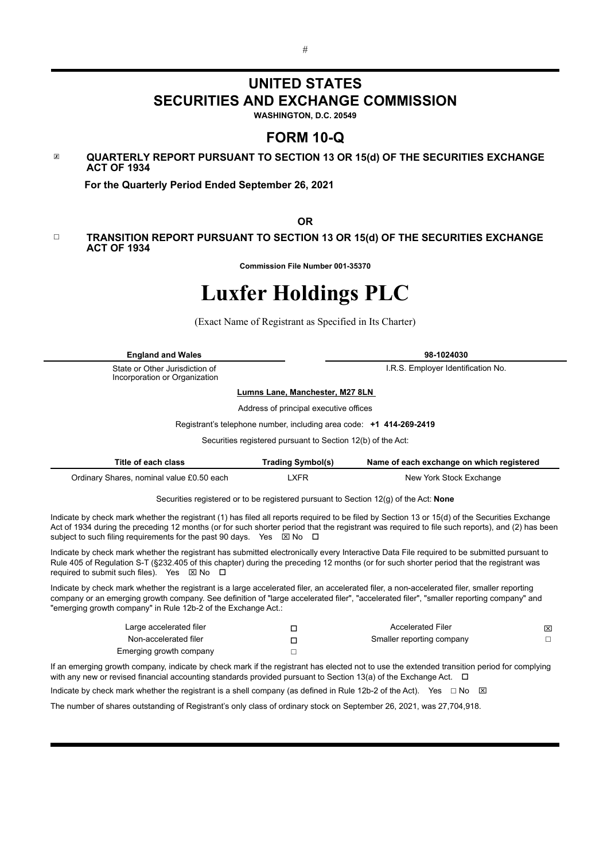# **UNITED STATES SECURITIES AND EXCHANGE COMMISSION**

**WASHINGTON, D.C. 20549**

# **FORM 10-Q**

☒ **QUARTERLY REPORT PURSUANT TO SECTION 13 OR 15(d) OF THE SECURITIES EXCHANGE ACT OF 1934**

 **For the Quarterly Period Ended September 26, 2021**

**OR**

#### ☐ **TRANSITION REPORT PURSUANT TO SECTION 13 OR 15(d) OF THE SECURITIES EXCHANGE ACT OF 1934**

**Commission File Number 001-35370**

# **Luxfer Holdings PLC**

(Exact Name of Registrant as Specified in Its Charter)

| <b>England and Wales</b>                                                                                                                                                                                                                                                                                                                                                                                                                                                                                                                                                                                                                                                                                                                  |                                                                     | 98-1024030                                                                           |   |  |  |  |  |  |  |  |
|-------------------------------------------------------------------------------------------------------------------------------------------------------------------------------------------------------------------------------------------------------------------------------------------------------------------------------------------------------------------------------------------------------------------------------------------------------------------------------------------------------------------------------------------------------------------------------------------------------------------------------------------------------------------------------------------------------------------------------------------|---------------------------------------------------------------------|--------------------------------------------------------------------------------------|---|--|--|--|--|--|--|--|
| State or Other Jurisdiction of<br>Incorporation or Organization                                                                                                                                                                                                                                                                                                                                                                                                                                                                                                                                                                                                                                                                           |                                                                     | I.R.S. Employer Identification No.                                                   |   |  |  |  |  |  |  |  |
|                                                                                                                                                                                                                                                                                                                                                                                                                                                                                                                                                                                                                                                                                                                                           | Lumns Lane, Manchester, M27 8LN                                     |                                                                                      |   |  |  |  |  |  |  |  |
|                                                                                                                                                                                                                                                                                                                                                                                                                                                                                                                                                                                                                                                                                                                                           | Address of principal executive offices                              |                                                                                      |   |  |  |  |  |  |  |  |
|                                                                                                                                                                                                                                                                                                                                                                                                                                                                                                                                                                                                                                                                                                                                           | Registrant's telephone number, including area code: +1 414-269-2419 |                                                                                      |   |  |  |  |  |  |  |  |
|                                                                                                                                                                                                                                                                                                                                                                                                                                                                                                                                                                                                                                                                                                                                           | Securities registered pursuant to Section 12(b) of the Act:         |                                                                                      |   |  |  |  |  |  |  |  |
| Title of each class                                                                                                                                                                                                                                                                                                                                                                                                                                                                                                                                                                                                                                                                                                                       | <b>Trading Symbol(s)</b>                                            | Name of each exchange on which registered                                            |   |  |  |  |  |  |  |  |
| Ordinary Shares, nominal value £0.50 each                                                                                                                                                                                                                                                                                                                                                                                                                                                                                                                                                                                                                                                                                                 | <b>LXFR</b>                                                         | New York Stock Exchange                                                              |   |  |  |  |  |  |  |  |
|                                                                                                                                                                                                                                                                                                                                                                                                                                                                                                                                                                                                                                                                                                                                           |                                                                     | Securities registered or to be registered pursuant to Section 12(g) of the Act: None |   |  |  |  |  |  |  |  |
| Indicate by check mark whether the registrant (1) has filed all reports required to be filed by Section 13 or 15(d) of the Securities Exchange<br>Act of 1934 during the preceding 12 months (or for such shorter period that the registrant was required to file such reports), and (2) has been<br>subject to such filing requirements for the past 90 days. Yes $\boxtimes$ No $\Box$<br>Indicate by check mark whether the registrant has submitted electronically every Interactive Data File required to be submitted pursuant to<br>Rule 405 of Regulation S-T (§232.405 of this chapter) during the preceding 12 months (or for such shorter period that the registrant was<br>required to submit such files). Yes ⊠ No<br>$\Box$ |                                                                     |                                                                                      |   |  |  |  |  |  |  |  |
| Indicate by check mark whether the registrant is a large accelerated filer, an accelerated filer, a non-accelerated filer, smaller reporting<br>company or an emerging growth company. See definition of "large accelerated filer", "accelerated filer", "smaller reporting company" and<br>"emerging growth company" in Rule 12b-2 of the Exchange Act.:                                                                                                                                                                                                                                                                                                                                                                                 |                                                                     |                                                                                      |   |  |  |  |  |  |  |  |
| Large accelerated filer                                                                                                                                                                                                                                                                                                                                                                                                                                                                                                                                                                                                                                                                                                                   | $\Box$                                                              | <b>Accelerated Filer</b>                                                             | ⊠ |  |  |  |  |  |  |  |
| Non-accelerated filer                                                                                                                                                                                                                                                                                                                                                                                                                                                                                                                                                                                                                                                                                                                     | $\Box$                                                              | Smaller reporting company                                                            | □ |  |  |  |  |  |  |  |
| Emerging growth company                                                                                                                                                                                                                                                                                                                                                                                                                                                                                                                                                                                                                                                                                                                   | П                                                                   |                                                                                      |   |  |  |  |  |  |  |  |
| If an emerging growth company, indicate by check mark if the registrant has elected not to use the extended transition period for complying<br>with any new or revised financial accounting standards provided pursuant to Section 13(a) of the Exchange Act. $\Box$                                                                                                                                                                                                                                                                                                                                                                                                                                                                      |                                                                     |                                                                                      |   |  |  |  |  |  |  |  |
| Indicate by check mark whether the registrant is a shell company (as defined in Rule 12b-2 of the Act). Yes $\Box$ No                                                                                                                                                                                                                                                                                                                                                                                                                                                                                                                                                                                                                     |                                                                     | ⊠                                                                                    |   |  |  |  |  |  |  |  |
| The number of shares outstanding of Registrant's only class of ordinary stock on September 26, 2021, was 27,704,918.                                                                                                                                                                                                                                                                                                                                                                                                                                                                                                                                                                                                                      |                                                                     |                                                                                      |   |  |  |  |  |  |  |  |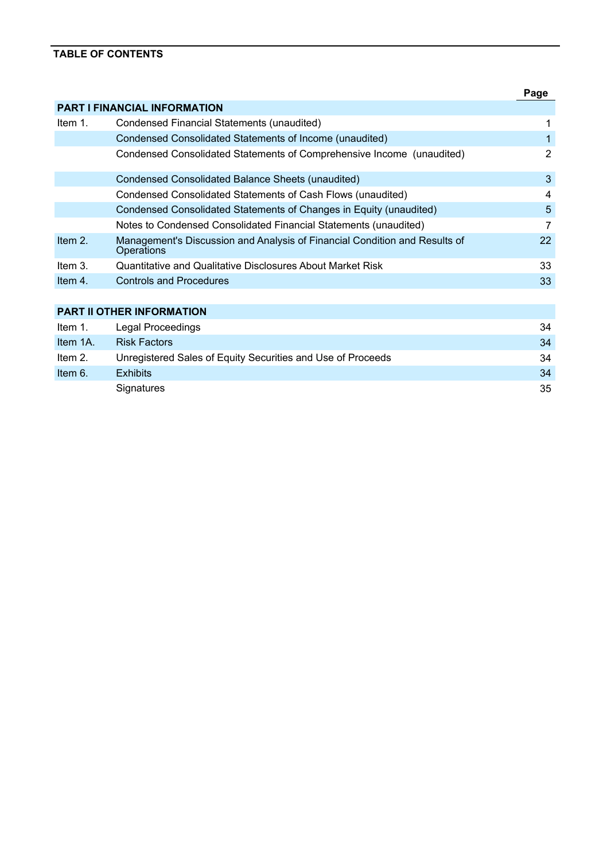## **TABLE OF CONTENTS**

|            |                                                                                          | Page |
|------------|------------------------------------------------------------------------------------------|------|
|            | <b>PART I FINANCIAL INFORMATION</b>                                                      |      |
| Item $1$ . | Condensed Financial Statements (unaudited)                                               |      |
|            | Condensed Consolidated Statements of Income (unaudited)                                  |      |
|            | Condensed Consolidated Statements of Comprehensive Income (unaudited)                    | 2    |
|            | Condensed Consolidated Balance Sheets (unaudited)                                        | 3    |
|            | Condensed Consolidated Statements of Cash Flows (unaudited)                              | 4    |
|            | Condensed Consolidated Statements of Changes in Equity (unaudited)                       | 5    |
|            | Notes to Condensed Consolidated Financial Statements (unaudited)                         | 7    |
| Item 2.    | Management's Discussion and Analysis of Financial Condition and Results of<br>Operations | 22   |
| Item $31$  | Quantitative and Qualitative Disclosures About Market Risk                               | 33   |
| Item $41$  | <b>Controls and Procedures</b>                                                           | 33   |
|            |                                                                                          |      |
|            | <b>PART II OTHER INFORMATION</b>                                                         |      |
| Item $1$ . | Legal Proceedings                                                                        | 34   |
| Item 1A.   | <b>Risk Factors</b>                                                                      | 34   |
| Item $21$  | Unregistered Sales of Equity Securities and Use of Proceeds                              | 34   |
| Item 6.    | <b>Exhibits</b>                                                                          | 34   |
|            | Signatures                                                                               | 35   |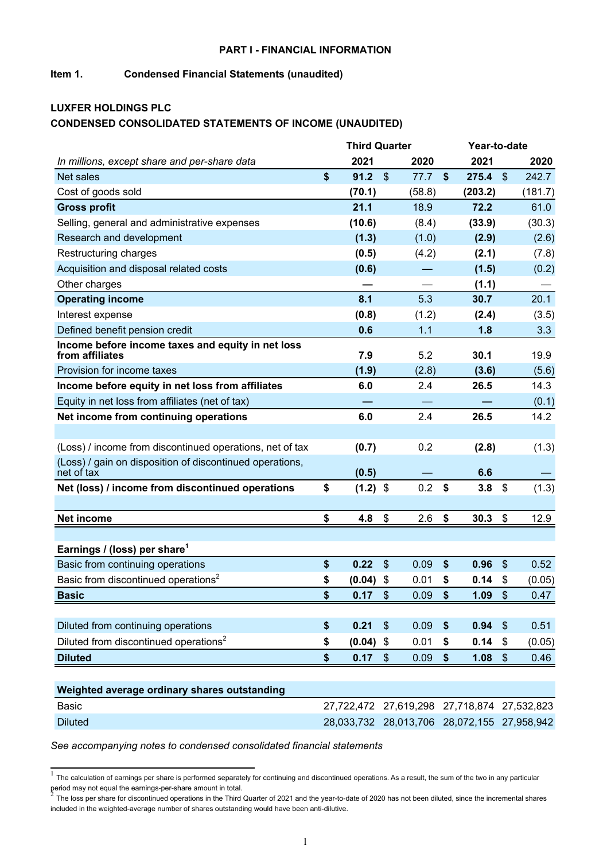#### **PART I - FINANCIAL INFORMATION**

## **Item 1. Condensed Financial Statements (unaudited)**

## **LUXFER HOLDINGS PLC CONDENSED CONSOLIDATED STATEMENTS OF INCOME (UNAUDITED)**

|                                                                        | <b>Third Quarter</b> |                           | Year-to-date |                                             |                                             |         |  |  |
|------------------------------------------------------------------------|----------------------|---------------------------|--------------|---------------------------------------------|---------------------------------------------|---------|--|--|
| In millions, except share and per-share data                           | 2021                 |                           | 2020         | 2021                                        |                                             | 2020    |  |  |
| <b>Net sales</b>                                                       | \$<br>91.2           | $\boldsymbol{\mathsf{S}}$ | 77.7         | \$<br>275.4                                 | $\sqrt[6]{\frac{1}{2}}$                     | 242.7   |  |  |
| Cost of goods sold                                                     | (70.1)               |                           | (58.8)       | (203.2)                                     |                                             | (181.7) |  |  |
| <b>Gross profit</b>                                                    | 21.1                 |                           | 18.9         | 72.2                                        |                                             | 61.0    |  |  |
| Selling, general and administrative expenses                           | (10.6)               |                           | (8.4)        | (33.9)                                      |                                             | (30.3)  |  |  |
| Research and development                                               | (1.3)                |                           | (1.0)        | (2.9)                                       |                                             | (2.6)   |  |  |
| Restructuring charges                                                  | (0.5)                |                           | (4.2)        | (2.1)                                       |                                             | (7.8)   |  |  |
| Acquisition and disposal related costs                                 | (0.6)                |                           |              | (1.5)                                       |                                             | (0.2)   |  |  |
| Other charges                                                          |                      |                           |              | (1.1)                                       |                                             |         |  |  |
| <b>Operating income</b>                                                | 8.1                  |                           | 5.3          | 30.7                                        |                                             | 20.1    |  |  |
| Interest expense                                                       | (0.8)                |                           | (1.2)        | (2.4)                                       |                                             | (3.5)   |  |  |
| Defined benefit pension credit                                         | 0.6                  |                           | 1.1          | 1.8                                         |                                             | 3.3     |  |  |
| Income before income taxes and equity in net loss<br>from affiliates   | 7.9                  |                           | 5.2          | 30.1                                        |                                             | 19.9    |  |  |
| Provision for income taxes                                             | (1.9)                |                           | (2.8)        | (3.6)                                       |                                             | (5.6)   |  |  |
| Income before equity in net loss from affiliates                       | 6.0                  |                           | 2.4          | 26.5                                        |                                             | 14.3    |  |  |
| Equity in net loss from affiliates (net of tax)                        |                      |                           |              |                                             |                                             | (0.1)   |  |  |
| Net income from continuing operations                                  | 6.0                  |                           | 2.4          | 26.5                                        |                                             | 14.2    |  |  |
|                                                                        |                      |                           |              |                                             |                                             |         |  |  |
| (Loss) / income from discontinued operations, net of tax               | (0.7)                |                           | 0.2          | (2.8)                                       |                                             | (1.3)   |  |  |
| (Loss) / gain on disposition of discontinued operations,<br>net of tax | (0.5)                |                           |              | 6.6                                         |                                             |         |  |  |
| Net (loss) / income from discontinued operations                       | \$<br>$(1.2)$ \$     |                           | 0.2          | \$<br>3.8                                   | \$                                          | (1.3)   |  |  |
|                                                                        |                      |                           |              |                                             |                                             |         |  |  |
| Net income                                                             | \$<br>4.8            | \$                        | 2.6          | \$<br>30.3                                  | \$                                          | 12.9    |  |  |
|                                                                        |                      |                           |              |                                             |                                             |         |  |  |
| Earnings / (loss) per share <sup>1</sup>                               |                      |                           |              |                                             |                                             |         |  |  |
| Basic from continuing operations                                       | \$<br>0.22           | $\boldsymbol{\mathsf{S}}$ | 0.09         | \$<br>0.96                                  | \$                                          | 0.52    |  |  |
| Basic from discontinued operations <sup>2</sup>                        | \$<br>(0.04)         | \$                        | 0.01         | \$<br>0.14                                  | \$                                          | (0.05)  |  |  |
| <b>Basic</b>                                                           | \$<br>0.17           | $\mathcal{S}$             | 0.09         | \$<br>1.09                                  | $\mathfrak{s}$                              | 0.47    |  |  |
|                                                                        |                      |                           |              |                                             |                                             |         |  |  |
| Diluted from continuing operations                                     | \$<br>0.21           | $\frac{1}{2}$             | 0.09         | \$<br>0.94                                  | $\frac{1}{2}$                               | 0.51    |  |  |
| Diluted from discontinued operations <sup>2</sup>                      | \$<br>(0.04)         | \$                        | 0.01         | \$<br>0.14                                  | \$                                          | (0.05)  |  |  |
| <b>Diluted</b>                                                         | \$<br>0.17           | $\mathfrak{S}$            | 0.09         | \$<br>1.08                                  | $\$\$                                       | 0.46    |  |  |
|                                                                        |                      |                           |              |                                             |                                             |         |  |  |
| Weighted average ordinary shares outstanding                           |                      |                           |              |                                             |                                             |         |  |  |
| <b>Basic</b>                                                           |                      |                           |              | 27,722,472 27,619,298 27,718,874 27,532,823 |                                             |         |  |  |
| <b>Diluted</b>                                                         |                      |                           |              |                                             | 28,033,732 28,013,706 28,072,155 27,958,942 |         |  |  |

 $1$  The calculation of earnings per share is performed separately for continuing and discontinued operations. As a result, the sum of the two in any particular period may not equal the earnings-per-share amount in total.<br>2. The last near these far discontinued encontinue in the Third

The loss per share for discontinued operations in the Third Quarter of 2021 and the year-to-date of 2020 has not been diluted, since the incremental shares included in the weighted-average number of shares outstanding would have been anti-dilutive.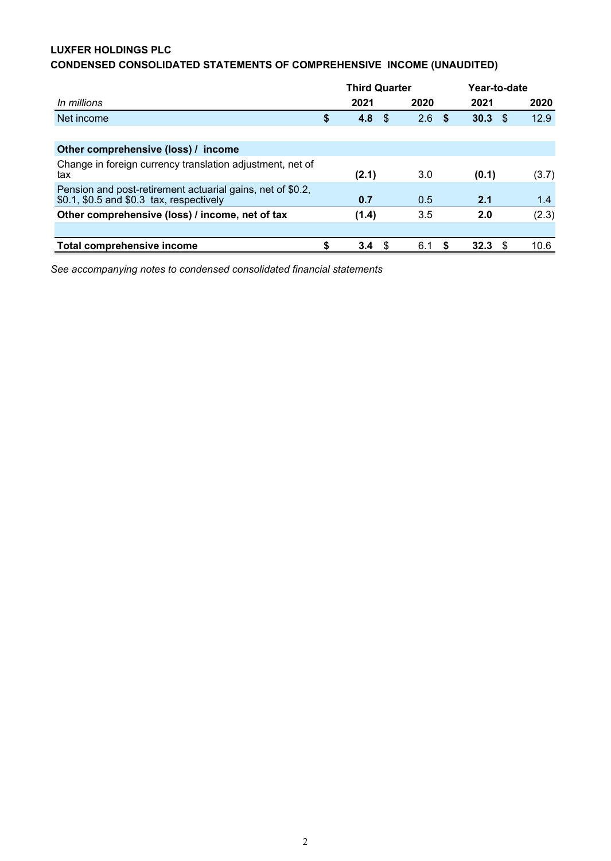## **LUXFER HOLDINGS PLC**

# **CONDENSED CONSOLIDATED STATEMENTS OF COMPREHENSIVE INCOME (UNAUDITED)**

|                                                                                                        | <b>Third Quarter</b> |     |      |    | Year-to-date |     |       |
|--------------------------------------------------------------------------------------------------------|----------------------|-----|------|----|--------------|-----|-------|
| In millions                                                                                            | 2021                 |     | 2020 |    | 2021         |     | 2020  |
| Net income                                                                                             | \$<br>4.8            | \$. | 2.6  | -S | 30.3         | \$. | 12.9  |
|                                                                                                        |                      |     |      |    |              |     |       |
| Other comprehensive (loss) / income                                                                    |                      |     |      |    |              |     |       |
| Change in foreign currency translation adjustment, net of<br>tax                                       | (2.1)                |     | 3.0  |    | (0.1)        |     | (3.7) |
| Pension and post-retirement actuarial gains, net of \$0.2,<br>\$0.1, \$0.5 and \$0.3 tax, respectively | 0.7                  |     | 0.5  |    | 2.1          |     | 1.4   |
| Other comprehensive (loss) / income, net of tax                                                        | (1.4)                |     | 3.5  |    | 2.0          |     | (2.3) |
|                                                                                                        |                      |     |      |    |              |     |       |
| <b>Total comprehensive income</b>                                                                      | \$<br>3.4            | \$  | 6.1  | S  | 32.3         | S   | 10.6  |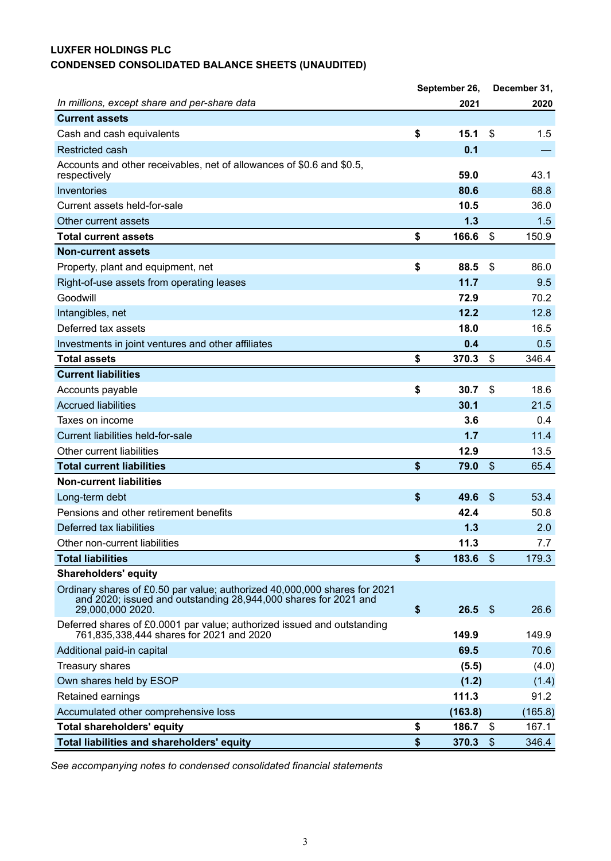# **LUXFER HOLDINGS PLC CONDENSED CONSOLIDATED BALANCE SHEETS (UNAUDITED)**

|                                                                                                                                                                  | September 26, |         |                             | December 31, |
|------------------------------------------------------------------------------------------------------------------------------------------------------------------|---------------|---------|-----------------------------|--------------|
| In millions, except share and per-share data                                                                                                                     |               | 2021    |                             | 2020         |
| <b>Current assets</b>                                                                                                                                            |               |         |                             |              |
| Cash and cash equivalents                                                                                                                                        | \$            | 15.1    | \$                          | 1.5          |
| <b>Restricted cash</b>                                                                                                                                           |               | 0.1     |                             |              |
| Accounts and other receivables, net of allowances of \$0.6 and \$0.5,<br>respectively                                                                            |               | 59.0    |                             | 43.1         |
| Inventories                                                                                                                                                      |               | 80.6    |                             | 68.8         |
| Current assets held-for-sale                                                                                                                                     |               | 10.5    |                             | 36.0         |
| Other current assets                                                                                                                                             |               | 1.3     |                             | 1.5          |
| <b>Total current assets</b>                                                                                                                                      | \$            | 166.6   | \$                          | 150.9        |
| <b>Non-current assets</b>                                                                                                                                        |               |         |                             |              |
| Property, plant and equipment, net                                                                                                                               | \$            | 88.5    | \$                          | 86.0         |
| Right-of-use assets from operating leases                                                                                                                        |               | 11.7    |                             | 9.5          |
| Goodwill                                                                                                                                                         |               | 72.9    |                             | 70.2         |
| Intangibles, net                                                                                                                                                 |               | 12.2    |                             | 12.8         |
| Deferred tax assets                                                                                                                                              |               | 18.0    |                             | 16.5         |
| Investments in joint ventures and other affiliates                                                                                                               |               | 0.4     |                             | 0.5          |
| <b>Total assets</b>                                                                                                                                              | \$            | 370.3   | \$                          | 346.4        |
| <b>Current liabilities</b>                                                                                                                                       |               |         |                             |              |
| Accounts payable                                                                                                                                                 | \$            | 30.7    | \$                          | 18.6         |
| <b>Accrued liabilities</b>                                                                                                                                       |               | 30.1    |                             | 21.5         |
| Taxes on income                                                                                                                                                  |               | 3.6     |                             | 0.4          |
| Current liabilities held-for-sale                                                                                                                                |               | 1.7     |                             | 11.4         |
| Other current liabilities                                                                                                                                        |               | 12.9    |                             | 13.5         |
| <b>Total current liabilities</b>                                                                                                                                 | \$            | 79.0    | $\boldsymbol{\hat{\theta}}$ | 65.4         |
| <b>Non-current liabilities</b>                                                                                                                                   |               |         |                             |              |
| Long-term debt                                                                                                                                                   | \$            | 49.6    | $\boldsymbol{\hat{\theta}}$ | 53.4         |
| Pensions and other retirement benefits                                                                                                                           |               | 42.4    |                             | 50.8         |
| Deferred tax liabilities                                                                                                                                         |               | 1.3     |                             | 2.0          |
| Other non-current liabilities                                                                                                                                    |               | 11.3    |                             | 7.7          |
| <b>Total liabilities</b>                                                                                                                                         | \$            | 183.6   | $\boldsymbol{\hat{\theta}}$ | 179.3        |
| <b>Shareholders' equity</b>                                                                                                                                      |               |         |                             |              |
| Ordinary shares of £0.50 par value; authorized 40,000,000 shares for 2021<br>and 2020; issued and outstanding 28,944,000 shares for 2021 and<br>29,000,000 2020. | \$            | 26.5    | $\sqrt[6]{3}$               | 26.6         |
| Deferred shares of £0.0001 par value; authorized issued and outstanding<br>761,835,338,444 shares for 2021 and 2020                                              |               | 149.9   |                             | 149.9        |
| Additional paid-in capital                                                                                                                                       |               | 69.5    |                             | 70.6         |
| <b>Treasury shares</b>                                                                                                                                           |               | (5.5)   |                             | (4.0)        |
| Own shares held by ESOP                                                                                                                                          |               | (1.2)   |                             | (1.4)        |
| Retained earnings                                                                                                                                                |               | 111.3   |                             | 91.2         |
| Accumulated other comprehensive loss                                                                                                                             |               | (163.8) |                             | (165.8)      |
| <b>Total shareholders' equity</b>                                                                                                                                | \$            | 186.7   | \$                          | 167.1        |
| <b>Total liabilities and shareholders' equity</b>                                                                                                                | \$            | 370.3   | $\mathfrak{L}$              | 346.4        |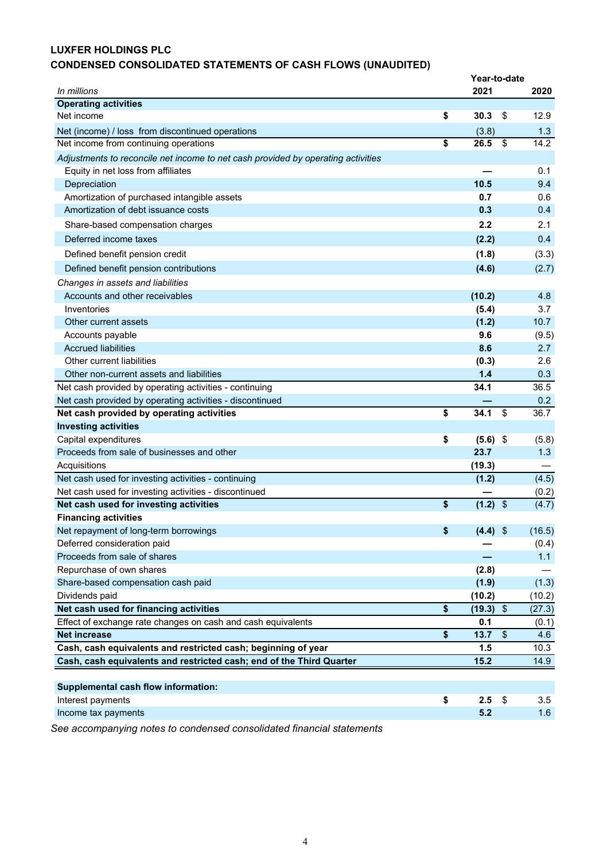## **LUXFER HOLDINGS PLC**

# **CONDENSED CONSOLIDATED STATEMENTS OF CASH FLOWS (UNAUDITED)**

|                                                                                                                    | Year-to-date      |                           |             |
|--------------------------------------------------------------------------------------------------------------------|-------------------|---------------------------|-------------|
| In millions                                                                                                        | 2021              |                           | 2020        |
| <b>Operating activities</b>                                                                                        |                   |                           |             |
| Net income                                                                                                         | \$<br>30.3        | \$                        | 12.9        |
| Net (income) / loss from discontinued operations                                                                   | (3.8)             |                           | 1.3         |
| Net income from continuing operations                                                                              | \$<br>26.5        | \$                        | 14.2        |
| Adjustments to reconcile net income to net cash provided by operating activities                                   |                   |                           |             |
| Equity in net loss from affiliates                                                                                 |                   |                           | 0.1         |
| Depreciation                                                                                                       | 10.5              |                           | 9.4         |
| Amortization of purchased intangible assets                                                                        | 0.7               |                           | 0.6         |
| Amortization of debt issuance costs                                                                                | 0.3               |                           | 0.4         |
| Share-based compensation charges                                                                                   | 2.2               |                           | 2.1         |
| Deferred income taxes                                                                                              | (2.2)             |                           | 0.4         |
| Defined benefit pension credit                                                                                     | (1.8)             |                           | (3.3)       |
|                                                                                                                    | (4.6)             |                           |             |
| Defined benefit pension contributions                                                                              |                   |                           | (2.7)       |
| Changes in assets and liabilities                                                                                  |                   |                           |             |
| Accounts and other receivables                                                                                     | (10.2)            |                           | 4.8         |
| Inventories                                                                                                        | (5.4)             |                           | 3.7         |
| Other current assets                                                                                               | (1.2)             |                           | 10.7        |
| Accounts payable                                                                                                   | 9.6               |                           | (9.5)       |
| <b>Accrued liabilities</b><br>Other current liabilities                                                            | 8.6               |                           | 2.7<br>2.6  |
|                                                                                                                    | (0.3)<br>$1.4$    |                           |             |
| Other non-current assets and liabilities                                                                           | 34.1              |                           | 0.3<br>36.5 |
| Net cash provided by operating activities - continuing<br>Net cash provided by operating activities - discontinued |                   |                           | 0.2         |
| Net cash provided by operating activities                                                                          | \$<br>34.1        | $\boldsymbol{\mathsf{S}}$ | 36.7        |
| <b>Investing activities</b>                                                                                        |                   |                           |             |
| Capital expenditures                                                                                               | \$<br>$(5.6)$ \$  |                           | (5.8)       |
| Proceeds from sale of businesses and other                                                                         | 23.7              |                           | 1.3         |
| Acquisitions                                                                                                       | (19.3)            |                           |             |
| Net cash used for investing activities - continuing                                                                | (1.2)             |                           | (4.5)       |
| Net cash used for investing activities - discontinued                                                              |                   |                           | (0.2)       |
| Net cash used for investing activities                                                                             | \$<br>$(1.2)$ \$  |                           | (4.7)       |
| <b>Financing activities</b>                                                                                        |                   |                           |             |
| Net repayment of long-term borrowings                                                                              | \$<br>$(4.4)$ \$  |                           | (16.5)      |
| Deferred consideration paid                                                                                        |                   |                           | (0.4)       |
| Proceeds from sale of shares                                                                                       |                   |                           | 1.1         |
| Repurchase of own shares                                                                                           | (2.8)             |                           |             |
| Share-based compensation cash paid                                                                                 | (1.9)             |                           | (1.3)       |
| Dividends paid                                                                                                     | (10.2)            |                           | (10.2)      |
| Net cash used for financing activities                                                                             | \$<br>$(19.3)$ \$ |                           | (27.3)      |
| Effect of exchange rate changes on cash and cash equivalents                                                       | 0.1               |                           | (0.1)       |
| <b>Net increase</b>                                                                                                | \$<br>13.7        | $\sqrt[6]{\frac{1}{2}}$   | 4.6         |
| Cash, cash equivalents and restricted cash; beginning of year                                                      | 1.5               |                           | 10.3        |
| Cash, cash equivalents and restricted cash; end of the Third Quarter                                               | 15.2              |                           | 14.9        |
|                                                                                                                    |                   |                           |             |
| <b>Supplemental cash flow information:</b>                                                                         |                   |                           |             |
| Interest payments                                                                                                  | \$<br>2.5         | \$                        | 3.5         |
| Income tax payments                                                                                                | 5.2               |                           | 1.6         |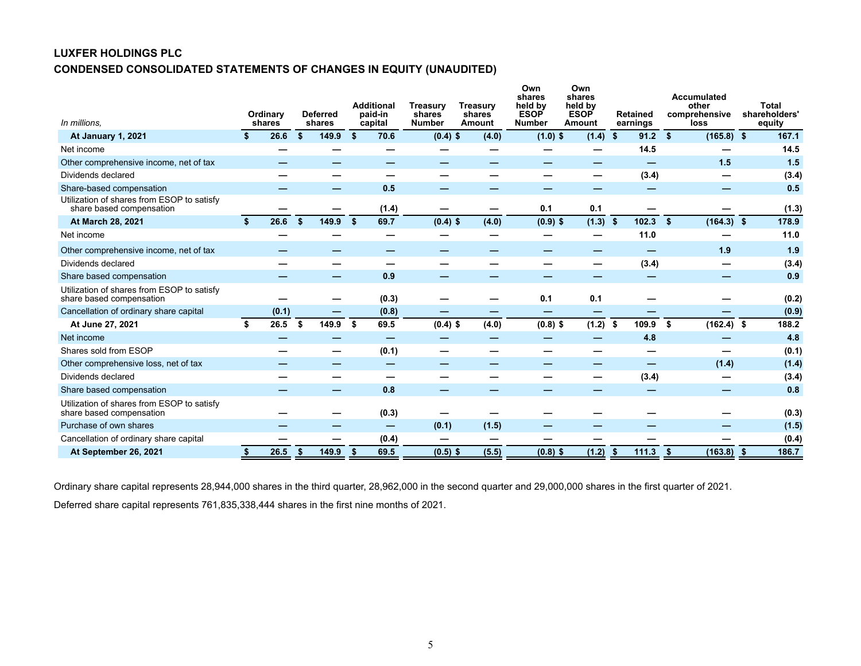## **LUXFER HOLDINGS PLC CONDENSED CONSOLIDATED STATEMENTS OF CHANGES IN EQUITY (UNAUDITED)**

| In millions.                                                           |    | <b>Ordinary</b><br>shares |     | <b>Deferred</b><br>shares | <b>Additional</b><br>paid-in<br>capital | <b>Treasurv</b><br>shares<br><b>Number</b> | <b>Treasurv</b><br><b>shares</b><br>Amount | Own<br>shares<br>held by<br><b>ESOP</b><br><b>Number</b> | Own<br>shares<br>held by<br><b>ESOP</b><br>Amount | <b>Retained</b><br>earnings | Accumulated<br>other<br>comprehensive<br>loss |     | Total<br>shareholders'<br>equity |
|------------------------------------------------------------------------|----|---------------------------|-----|---------------------------|-----------------------------------------|--------------------------------------------|--------------------------------------------|----------------------------------------------------------|---------------------------------------------------|-----------------------------|-----------------------------------------------|-----|----------------------------------|
| <b>At January 1, 2021</b>                                              | S. | 26.6                      | \$  | 149.9                     | \$<br>70.6                              | $(0.4)$ \$                                 | (4.0)                                      | $(1.0)$ \$                                               | (1.4)                                             | 91.2<br>-\$                 | \$<br>$(165.8)$ \$                            |     | 167.1                            |
| Net income                                                             |    |                           |     |                           |                                         |                                            |                                            |                                                          |                                                   | 14.5                        |                                               |     | 14.5                             |
| Other comprehensive income, net of tax                                 |    |                           |     |                           |                                         |                                            |                                            |                                                          |                                                   | –                           | 1.5                                           |     | 1.5                              |
| Dividends declared                                                     |    |                           |     |                           |                                         |                                            |                                            |                                                          | —                                                 | (3.4)                       |                                               |     | (3.4)                            |
| Share-based compensation                                               |    |                           |     |                           | 0.5                                     |                                            |                                            |                                                          |                                                   |                             |                                               |     | 0.5                              |
| Utilization of shares from ESOP to satisfy<br>share based compensation |    |                           |     |                           | (1.4)                                   |                                            |                                            | 0.1                                                      | 0.1                                               |                             |                                               |     | (1.3)                            |
| At March 28, 2021                                                      | Ŝ. | 26.6                      | \$. | 149.9                     | \$<br>69.7                              | $(0.4)$ \$                                 | (4.0)                                      | $(0.9)$ \$                                               | $(1.3)$ \$                                        | 102.3                       | \$<br>$(164.3)$ \$                            |     | 178.9                            |
| Net income                                                             |    |                           |     |                           |                                         |                                            |                                            |                                                          |                                                   | 11.0                        |                                               |     | 11.0                             |
| Other comprehensive income, net of tax                                 |    |                           |     |                           |                                         |                                            |                                            |                                                          |                                                   | –                           | 1.9                                           |     | 1.9                              |
| Dividends declared                                                     |    |                           |     |                           |                                         |                                            |                                            |                                                          |                                                   | (3.4)                       |                                               |     | (3.4)                            |
| Share based compensation                                               |    |                           |     |                           | 0.9                                     |                                            |                                            |                                                          |                                                   |                             |                                               |     | 0.9                              |
| Utilization of shares from ESOP to satisfy<br>share based compensation |    |                           |     |                           | (0.3)                                   |                                            |                                            | 0.1                                                      | 0.1                                               |                             |                                               |     | (0.2)                            |
| Cancellation of ordinary share capital                                 |    | (0.1)                     |     |                           | (0.8)                                   |                                            |                                            | –                                                        |                                                   |                             |                                               |     | (0.9)                            |
| At June 27, 2021                                                       | \$ | 26.5                      | S   | 149.9                     | \$<br>69.5                              | $(0.4)$ \$                                 | (4.0)                                      | $(0.8)$ \$                                               | $(1.2)$ \$                                        | 109.9                       | \$<br>$(162.4)$ \$                            |     | 188.2                            |
| Net income                                                             |    |                           |     |                           |                                         |                                            |                                            |                                                          |                                                   | 4.8                         |                                               |     | 4.8                              |
| Shares sold from ESOP                                                  |    |                           |     |                           | (0.1)                                   |                                            |                                            |                                                          |                                                   |                             |                                               |     | (0.1)                            |
| Other comprehensive loss, net of tax                                   |    |                           |     |                           |                                         |                                            |                                            |                                                          |                                                   | –                           | (1.4)                                         |     | (1.4)                            |
| Dividends declared                                                     |    |                           |     |                           |                                         |                                            |                                            |                                                          |                                                   | (3.4)                       |                                               |     | (3.4)                            |
| Share based compensation                                               |    |                           |     |                           | 0.8                                     |                                            |                                            |                                                          |                                                   |                             |                                               |     | 0.8                              |
| Utilization of shares from ESOP to satisfy<br>share based compensation |    |                           |     |                           | (0.3)                                   |                                            |                                            |                                                          |                                                   |                             |                                               |     | (0.3)                            |
| Purchase of own shares                                                 |    |                           |     |                           | -                                       | (0.1)                                      | (1.5)                                      |                                                          |                                                   |                             |                                               |     | (1.5)                            |
| Cancellation of ordinary share capital                                 |    |                           |     |                           | (0.4)                                   | –                                          |                                            |                                                          |                                                   |                             |                                               |     | (0.4)                            |
| At September 26, 2021                                                  |    | 26.5                      | Ŝ.  | 149.9                     | 69.5                                    | $(0.5)$ \$                                 | (5.5)                                      | $(0.8)$ \$                                               | (1.2)                                             | 111.3<br>-\$                | (163.8)<br>-\$                                | -\$ | 186.7                            |

Ordinary share capital represents 28,944,000 shares in the third quarter, 28,962,000 in the second quarter and 29,000,000 shares in the first quarter of 2021.

Deferred share capital represents 761,835,338,444 shares in the first nine months of 2021.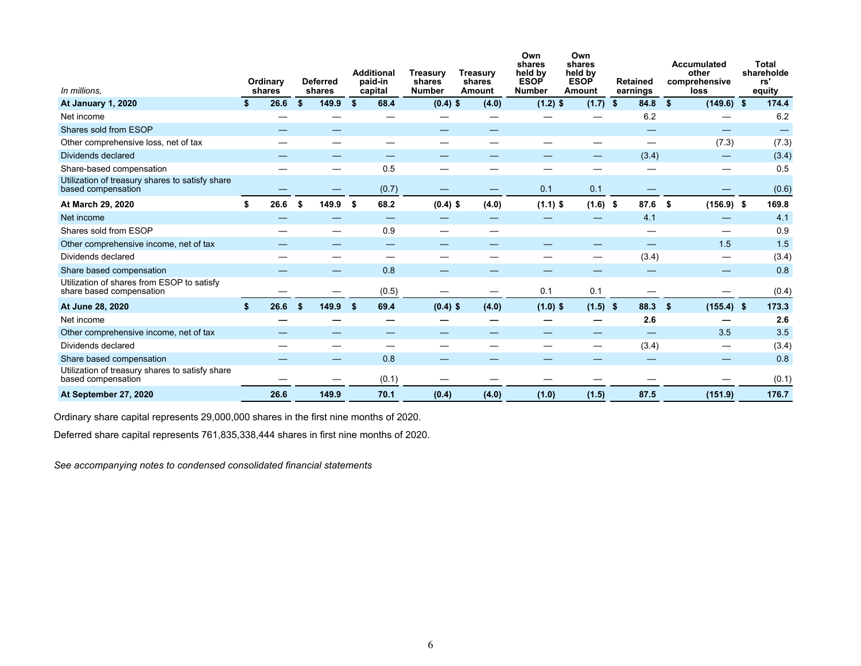| In millions.                                                           | Ordinary<br>shares |     | <b>Deferred</b><br>shares |     | <b>Additional</b><br>paid-in<br>capital | <b>Treasurv</b><br>shares<br><b>Number</b> | <b>Treasury</b><br>shares<br>Amount | Own<br>shares<br>held by<br><b>ESOP</b><br><b>Number</b> | Own<br>shares<br>held by<br><b>ESOP</b><br>Amount | <b>Retained</b><br>earnings | Accumulated<br>other<br>comprehensive<br>loss | Total<br>shareholde<br>rs'<br>equity |
|------------------------------------------------------------------------|--------------------|-----|---------------------------|-----|-----------------------------------------|--------------------------------------------|-------------------------------------|----------------------------------------------------------|---------------------------------------------------|-----------------------------|-----------------------------------------------|--------------------------------------|
| <b>At January 1, 2020</b>                                              | 26.6               | \$  | 149.9                     | \$  | 68.4                                    | $(0.4)$ \$                                 | (4.0)                               | $(1.2)$ \$                                               | $(1.7)$ \$                                        | 84.8                        | \$<br>$(149.6)$ \$                            | 174.4                                |
| Net income                                                             |                    |     |                           |     |                                         |                                            |                                     |                                                          |                                                   | 6.2                         |                                               | 6.2                                  |
| Shares sold from ESOP                                                  |                    |     |                           |     |                                         | —                                          |                                     |                                                          |                                                   | —                           | –                                             |                                      |
| Other comprehensive loss, net of tax                                   |                    |     |                           |     |                                         |                                            |                                     |                                                          |                                                   | $\overline{\phantom{m}}$    | (7.3)                                         | (7.3)                                |
| Dividends declared                                                     |                    |     |                           |     |                                         |                                            |                                     |                                                          |                                                   | (3.4)                       |                                               | (3.4)                                |
| Share-based compensation                                               |                    |     |                           |     | 0.5                                     |                                            |                                     |                                                          |                                                   |                             |                                               | 0.5                                  |
| Utilization of treasury shares to satisfy share<br>based compensation  |                    |     |                           |     | (0.7)                                   |                                            |                                     | 0.1                                                      | 0.1                                               |                             |                                               | (0.6)                                |
| At March 29, 2020                                                      | \$<br>26.6         | -\$ | 149.9                     | -\$ | 68.2                                    | $(0.4)$ \$                                 | (4.0)                               | $(1.1)$ \$                                               | $(1.6)$ \$                                        | 87.6                        | $(156.9)$ \$<br>Ŝ.                            | 169.8                                |
| Net income                                                             |                    |     |                           |     |                                         |                                            |                                     |                                                          |                                                   | 4.1                         |                                               | 4.1                                  |
| Shares sold from ESOP                                                  |                    |     |                           |     | 0.9                                     |                                            |                                     |                                                          |                                                   |                             |                                               | 0.9                                  |
| Other comprehensive income, net of tax                                 |                    |     |                           |     |                                         |                                            |                                     |                                                          |                                                   |                             | 1.5                                           | 1.5                                  |
| Dividends declared                                                     |                    |     |                           |     |                                         |                                            |                                     |                                                          |                                                   | (3.4)                       | —                                             | (3.4)                                |
| Share based compensation                                               |                    |     |                           |     | 0.8                                     |                                            |                                     |                                                          |                                                   |                             |                                               | 0.8                                  |
| Utilization of shares from ESOP to satisfy<br>share based compensation |                    |     |                           |     | (0.5)                                   |                                            |                                     | 0.1                                                      | 0.1                                               |                             |                                               | (0.4)                                |
| At June 28, 2020                                                       | \$<br>26.6         | Ŝ.  | 149.9                     | -\$ | 69.4                                    | $(0.4)$ \$                                 | (4.0)                               | $(1.0)$ \$                                               | $(1.5)$ \$                                        | 88.3                        | $(155.4)$ \$<br>\$                            | 173.3                                |
| Net income                                                             |                    |     |                           |     |                                         |                                            |                                     |                                                          |                                                   | 2.6                         |                                               | 2.6                                  |
| Other comprehensive income, net of tax                                 |                    |     |                           |     |                                         |                                            |                                     |                                                          |                                                   |                             | 3.5                                           | 3.5                                  |
| Dividends declared                                                     |                    |     |                           |     |                                         |                                            |                                     |                                                          |                                                   | (3.4)                       | —                                             | (3.4)                                |
| Share based compensation                                               |                    |     | –                         |     | 0.8                                     |                                            |                                     |                                                          |                                                   |                             |                                               | 0.8                                  |
| Utilization of treasury shares to satisfy share<br>based compensation  |                    |     |                           |     | (0.1)                                   |                                            |                                     |                                                          |                                                   |                             |                                               | (0.1)                                |
| At September 27, 2020                                                  | 26.6               |     | 149.9                     |     | 70.1                                    | (0.4)                                      | (4.0)                               | (1.0)                                                    | (1.5)                                             | 87.5                        | (151.9)                                       | 176.7                                |

Ordinary share capital represents 29,000,000 shares in the first nine months of 2020.

Deferred share capital represents 761,835,338,444 shares in first nine months of 2020.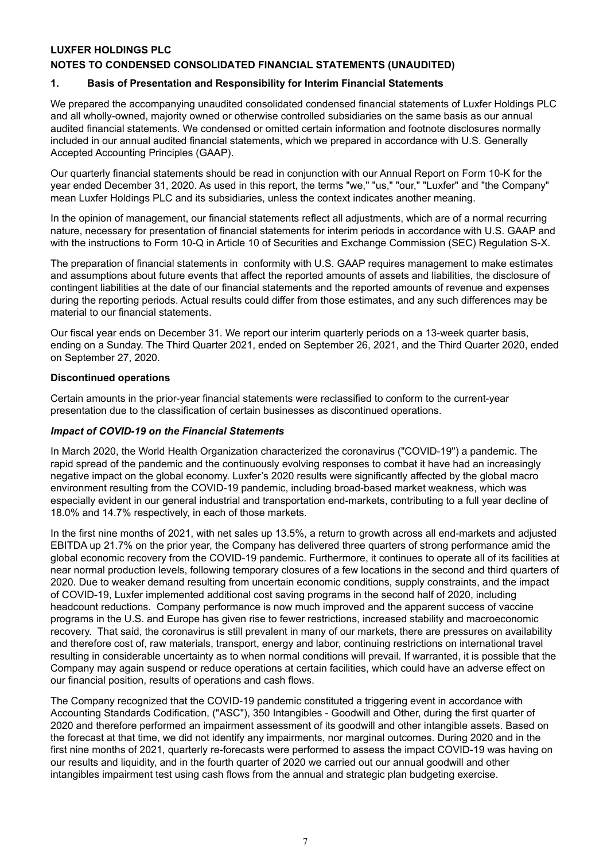## **LUXFER HOLDINGS PLC**

## **NOTES TO CONDENSED CONSOLIDATED FINANCIAL STATEMENTS (UNAUDITED)**

#### **1. Basis of Presentation and Responsibility for Interim Financial Statements**

We prepared the accompanying unaudited consolidated condensed financial statements of Luxfer Holdings PLC and all wholly-owned, majority owned or otherwise controlled subsidiaries on the same basis as our annual audited financial statements. We condensed or omitted certain information and footnote disclosures normally included in our annual audited financial statements, which we prepared in accordance with U.S. Generally Accepted Accounting Principles (GAAP).

Our quarterly financial statements should be read in conjunction with our Annual Report on Form 10-K for the year ended December 31, 2020. As used in this report, the terms "we," "us," "our," "Luxfer" and "the Company" mean Luxfer Holdings PLC and its subsidiaries, unless the context indicates another meaning.

In the opinion of management, our financial statements reflect all adjustments, which are of a normal recurring nature, necessary for presentation of financial statements for interim periods in accordance with U.S. GAAP and with the instructions to Form 10-Q in Article 10 of Securities and Exchange Commission (SEC) Regulation S-X.

The preparation of financial statements in conformity with U.S. GAAP requires management to make estimates and assumptions about future events that affect the reported amounts of assets and liabilities, the disclosure of contingent liabilities at the date of our financial statements and the reported amounts of revenue and expenses during the reporting periods. Actual results could differ from those estimates, and any such differences may be material to our financial statements.

Our fiscal year ends on December 31. We report our interim quarterly periods on a 13-week quarter basis, ending on a Sunday. The Third Quarter 2021, ended on September 26, 2021, and the Third Quarter 2020, ended on September 27, 2020.

#### **Discontinued operations**

Certain amounts in the prior-year financial statements were reclassified to conform to the current-year presentation due to the classification of certain businesses as discontinued operations.

#### *Impact of COVID-19 on the Financial Statements*

In March 2020, the World Health Organization characterized the coronavirus ("COVID-19") a pandemic. The rapid spread of the pandemic and the continuously evolving responses to combat it have had an increasingly negative impact on the global economy. Luxfer's 2020 results were significantly affected by the global macro environment resulting from the COVID-19 pandemic, including broad-based market weakness, which was especially evident in our general industrial and transportation end-markets, contributing to a full year decline of 18.0% and 14.7% respectively, in each of those markets.

In the first nine months of 2021, with net sales up 13.5%, a return to growth across all end-markets and adjusted EBITDA up 21.7% on the prior year, the Company has delivered three quarters of strong performance amid the global economic recovery from the COVID-19 pandemic. Furthermore, it continues to operate all of its facilities at near normal production levels, following temporary closures of a few locations in the second and third quarters of 2020. Due to weaker demand resulting from uncertain economic conditions, supply constraints, and the impact of COVID-19, Luxfer implemented additional cost saving programs in the second half of 2020, including headcount reductions. Company performance is now much improved and the apparent success of vaccine programs in the U.S. and Europe has given rise to fewer restrictions, increased stability and macroeconomic recovery. That said, the coronavirus is still prevalent in many of our markets, there are pressures on availability and therefore cost of, raw materials, transport, energy and labor, continuing restrictions on international travel resulting in considerable uncertainty as to when normal conditions will prevail. If warranted, it is possible that the Company may again suspend or reduce operations at certain facilities, which could have an adverse effect on our financial position, results of operations and cash flows.

The Company recognized that the COVID-19 pandemic constituted a triggering event in accordance with Accounting Standards Codification, ("ASC"), 350 Intangibles - Goodwill and Other, during the first quarter of 2020 and therefore performed an impairment assessment of its goodwill and other intangible assets. Based on the forecast at that time, we did not identify any impairments, nor marginal outcomes. During 2020 and in the first nine months of 2021, quarterly re-forecasts were performed to assess the impact COVID-19 was having on our results and liquidity, and in the fourth quarter of 2020 we carried out our annual goodwill and other intangibles impairment test using cash flows from the annual and strategic plan budgeting exercise.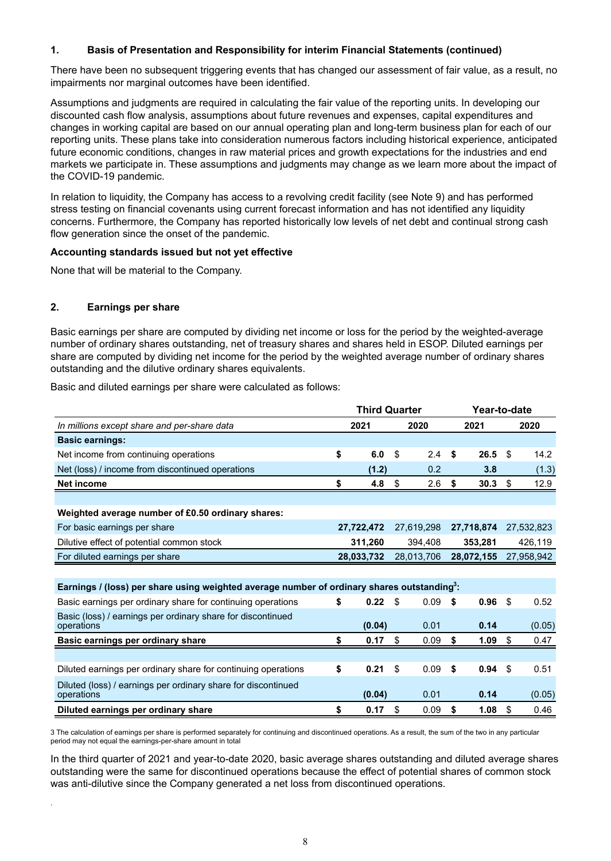## **1. Basis of Presentation and Responsibility for interim Financial Statements (continued)**

There have been no subsequent triggering events that has changed our assessment of fair value, as a result, no impairments nor marginal outcomes have been identified.

Assumptions and judgments are required in calculating the fair value of the reporting units. In developing our discounted cash flow analysis, assumptions about future revenues and expenses, capital expenditures and changes in working capital are based on our annual operating plan and long-term business plan for each of our reporting units. These plans take into consideration numerous factors including historical experience, anticipated future economic conditions, changes in raw material prices and growth expectations for the industries and end markets we participate in. These assumptions and judgments may change as we learn more about the impact of the COVID-19 pandemic.

In relation to liquidity, the Company has access to a revolving credit facility (see Note 9) and has performed stress testing on financial covenants using current forecast information and has not identified any liquidity concerns. Furthermore, the Company has reported historically low levels of net debt and continual strong cash flow generation since the onset of the pandemic.

#### **Accounting standards issued but not yet effective**

None that will be material to the Company.

#### **2. Earnings per share**

.

Basic earnings per share are computed by dividing net income or loss for the period by the weighted-average number of ordinary shares outstanding, net of treasury shares and shares held in ESOP. Diluted earnings per share are computed by dividing net income for the period by the weighted average number of ordinary shares outstanding and the dilutive ordinary shares equivalents.

Basic and diluted earnings per share were calculated as follows:

|                                                                                            | <b>Third Quarter</b> |            |    |            |    |            | Year-to-date |            |  |  |
|--------------------------------------------------------------------------------------------|----------------------|------------|----|------------|----|------------|--------------|------------|--|--|
| In millions except share and per-share data                                                | 2021                 |            |    | 2020       |    | 2021       |              | 2020       |  |  |
| <b>Basic earnings:</b>                                                                     |                      |            |    |            |    |            |              |            |  |  |
| Net income from continuing operations                                                      | \$                   | 6.0        | \$ | 2.4        | \$ | 26.5       | \$           | 14.2       |  |  |
| Net (loss) / income from discontinued operations                                           |                      | (1.2)      |    | 0.2        |    | 3.8        |              | (1.3)      |  |  |
| Net income                                                                                 | \$                   | 4.8        | \$ | 2.6        | \$ | 30.3       | \$           | 12.9       |  |  |
|                                                                                            |                      |            |    |            |    |            |              |            |  |  |
| Weighted average number of £0.50 ordinary shares:                                          |                      |            |    |            |    |            |              |            |  |  |
| For basic earnings per share                                                               |                      | 27,722,472 |    | 27,619,298 |    | 27,718,874 |              | 27,532,823 |  |  |
| Dilutive effect of potential common stock                                                  |                      | 311,260    |    | 394,408    |    | 353,281    |              | 426,119    |  |  |
| For diluted earnings per share                                                             | 28,033,732           |            |    | 28,013,706 |    | 28,072,155 |              | 27,958,942 |  |  |
|                                                                                            |                      |            |    |            |    |            |              |            |  |  |
| Earnings / (loss) per share using weighted average number of ordinary shares outstanding3: |                      |            |    |            |    |            |              |            |  |  |
| Basic earnings per ordinary share for continuing operations                                | \$                   | 0.22       | \$ | 0.09       | \$ | 0.96       | \$           | 0.52       |  |  |
| Basic (loss) / earnings per ordinary share for discontinued                                |                      |            |    |            |    |            |              |            |  |  |
| operations                                                                                 |                      | (0.04)     |    | 0.01       |    | 0.14       |              | (0.05)     |  |  |
| Basic earnings per ordinary share                                                          | \$                   | 0.17       | \$ | 0.09       | \$ | 1.09       | \$           | 0.47       |  |  |
|                                                                                            |                      |            |    |            |    |            |              |            |  |  |
| Diluted earnings per ordinary share for continuing operations                              | \$                   | 0.21       | \$ | 0.09       | \$ | 0.94       | \$           | 0.51       |  |  |
| Diluted (loss) / earnings per ordinary share for discontinued<br>operations                |                      | (0.04)     |    | 0.01       |    | 0.14       |              | (0.05)     |  |  |
| Diluted earnings per ordinary share                                                        | \$                   | 0.17       | \$ | 0.09       | \$ | 1.08       | \$           | 0.46       |  |  |

3 The calculation of earnings per share is performed separately for continuing and discontinued operations. As a result, the sum of the two in any particular period may not equal the earnings-per-share amount in total

In the third quarter of 2021 and year-to-date 2020, basic average shares outstanding and diluted average shares outstanding were the same for discontinued operations because the effect of potential shares of common stock was anti-dilutive since the Company generated a net loss from discontinued operations.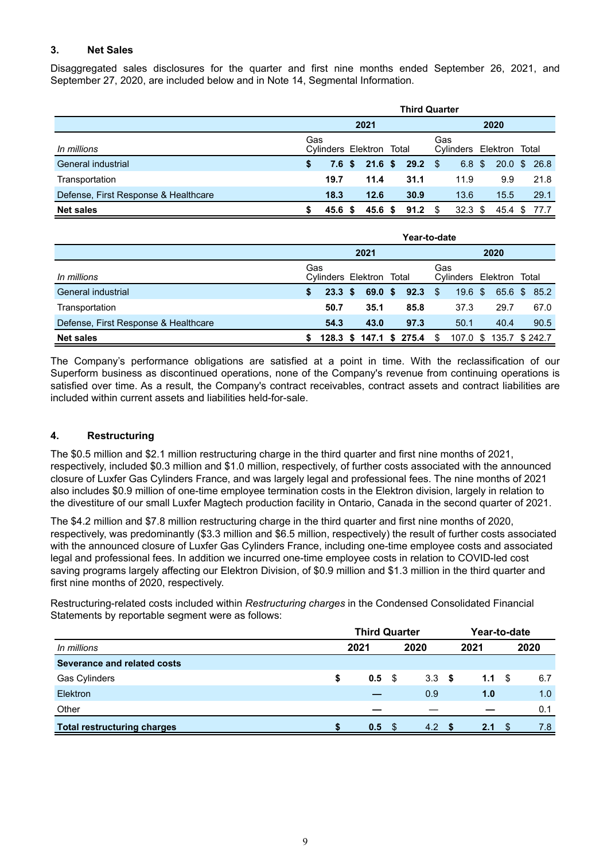## **3. Net Sales**

Disaggregated sales disclosures for the quarter and first nine months ended September 26, 2021, and September 27, 2020, are included below and in Note 14, Segmental Information.

|                                      | <b>Third Quarter</b> |                          |  |                        |  |                   |      |                          |  |              |  |       |
|--------------------------------------|----------------------|--------------------------|--|------------------------|--|-------------------|------|--------------------------|--|--------------|--|-------|
|                                      | 2021                 |                          |  |                        |  |                   | 2020 |                          |  |              |  |       |
| In millions                          | Gas                  | Cylinders Elektron Total |  |                        |  |                   | Gas  | Cylinders Elektron Total |  |              |  |       |
| General industrial                   | S.                   |                          |  | 7.6 \$ 21.6 \$ 29.2 \$ |  |                   |      | 6.8~\$                   |  | 20.0 \$ 26.8 |  |       |
| Transportation                       |                      | 19.7                     |  | 11.4                   |  | 31.1              |      | 11.9                     |  | 9.9          |  | 21.8  |
| Defense, First Response & Healthcare |                      | 18.3                     |  | 12.6                   |  | 30.9              |      | 13.6                     |  | 15.5         |  | 29.1  |
| <b>Net sales</b>                     |                      | 45.6                     |  | 45.6 <sup>5</sup>      |  | 91.2 <sup>5</sup> |      | 32.3 <sup>5</sup>        |  | 45.4 \$      |  | -77.7 |

|                                      | Year-to-date                    |        |  |         |  |                            |     |           |                          |      |                         |  |  |  |
|--------------------------------------|---------------------------------|--------|--|---------|--|----------------------------|-----|-----------|--------------------------|------|-------------------------|--|--|--|
|                                      | 2021                            |        |  |         |  |                            |     | 2020      |                          |      |                         |  |  |  |
| In millions                          | Gas<br>Cylinders Elektron Total |        |  |         |  |                            | Gas |           | Cylinders Elektron Total |      |                         |  |  |  |
| General industrial                   | \$.                             | 23.3 S |  | 69.0 \$ |  | $92.3$ \$                  |     | $19.6$ \$ |                          |      | 65.6 \$ 85.2            |  |  |  |
| Transportation                       |                                 | 50.7   |  | 35.1    |  | 85.8                       |     | 37.3      |                          | 29.7 | 67.0                    |  |  |  |
| Defense, First Response & Healthcare |                                 | 54.3   |  | 43.0    |  | 97.3                       |     | 50.1      |                          | 40.4 | 90.5                    |  |  |  |
| <b>Net sales</b>                     | S.                              |        |  |         |  | 128.3 \$ 147.1 \$ 275.4 \$ |     |           |                          |      | 107.0 \$ 135.7 \$ 242.7 |  |  |  |

The Company's performance obligations are satisfied at a point in time. With the reclassification of our Superform business as discontinued operations, none of the Company's revenue from continuing operations is satisfied over time. As a result, the Company's contract receivables, contract assets and contract liabilities are included within current assets and liabilities held-for-sale.

## **4. Restructuring**

The \$0.5 million and \$2.1 million restructuring charge in the third quarter and first nine months of 2021, respectively, included \$0.3 million and \$1.0 million, respectively, of further costs associated with the announced closure of Luxfer Gas Cylinders France, and was largely legal and professional fees. The nine months of 2021 also includes \$0.9 million of one-time employee termination costs in the Elektron division, largely in relation to the divestiture of our small Luxfer Magtech production facility in Ontario, Canada in the second quarter of 2021.

The \$4.2 million and \$7.8 million restructuring charge in the third quarter and first nine months of 2020, respectively, was predominantly (\$3.3 million and \$6.5 million, respectively) the result of further costs associated with the announced closure of Luxfer Gas Cylinders France, including one-time employee costs and associated legal and professional fees. In addition we incurred one-time employee costs in relation to COVID-led cost saving programs largely affecting our Elektron Division, of \$0.9 million and \$1.3 million in the third quarter and first nine months of 2020, respectively.

Restructuring-related costs included within *Restructuring charges* in the Condensed Consolidated Financial Statements by reportable segment were as follows:

|                                    | <b>Third Quarter</b> |      |      |       |      |      |      | Year-to-date |
|------------------------------------|----------------------|------|------|-------|------|------|------|--------------|
| In millions                        |                      | 2021 |      | 2020  |      | 2021 |      | 2020         |
| Severance and related costs        |                      |      |      |       |      |      |      |              |
| <b>Gas Cylinders</b>               | \$                   | 0.5  | - \$ | 3.3   | - \$ | 1.1  | - \$ | 6.7          |
| Elektron                           |                      |      |      | 0.9   |      | 1.0  |      | 1.0          |
| Other                              |                      |      |      |       |      |      |      | 0.1          |
| <b>Total restructuring charges</b> |                      | 0.5  | - \$ | 4.2 S |      | 2.1  | - \$ | 7.8          |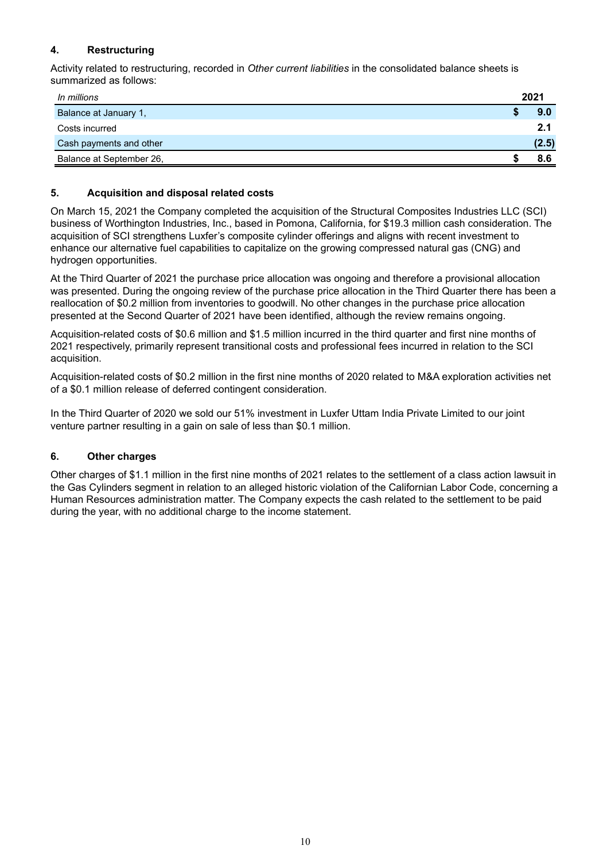## **4. Restructuring**

Activity related to restructuring, recorded in *Other current liabilities* in the consolidated balance sheets is summarized as follows:

| In millions              | 2021  |
|--------------------------|-------|
| Balance at January 1,    | 9.0   |
| Costs incurred           | 2.1   |
| Cash payments and other  | (2.5) |
| Balance at September 26, | 86    |

## **5. Acquisition and disposal related costs**

On March 15, 2021 the Company completed the acquisition of the Structural Composites Industries LLC (SCI) business of Worthington Industries, Inc., based in Pomona, California, for \$19.3 million cash consideration. The acquisition of SCI strengthens Luxfer's composite cylinder offerings and aligns with recent investment to enhance our alternative fuel capabilities to capitalize on the growing compressed natural gas (CNG) and hydrogen opportunities.

At the Third Quarter of 2021 the purchase price allocation was ongoing and therefore a provisional allocation was presented. During the ongoing review of the purchase price allocation in the Third Quarter there has been a reallocation of \$0.2 million from inventories to goodwill. No other changes in the purchase price allocation presented at the Second Quarter of 2021 have been identified, although the review remains ongoing.

Acquisition-related costs of \$0.6 million and \$1.5 million incurred in the third quarter and first nine months of 2021 respectively, primarily represent transitional costs and professional fees incurred in relation to the SCI acquisition.

Acquisition-related costs of \$0.2 million in the first nine months of 2020 related to M&A exploration activities net of a \$0.1 million release of deferred contingent consideration.

In the Third Quarter of 2020 we sold our 51% investment in Luxfer Uttam India Private Limited to our joint venture partner resulting in a gain on sale of less than \$0.1 million.

#### **6. Other charges**

Other charges of \$1.1 million in the first nine months of 2021 relates to the settlement of a class action lawsuit in the Gas Cylinders segment in relation to an alleged historic violation of the Californian Labor Code, concerning a Human Resources administration matter. The Company expects the cash related to the settlement to be paid during the year, with no additional charge to the income statement.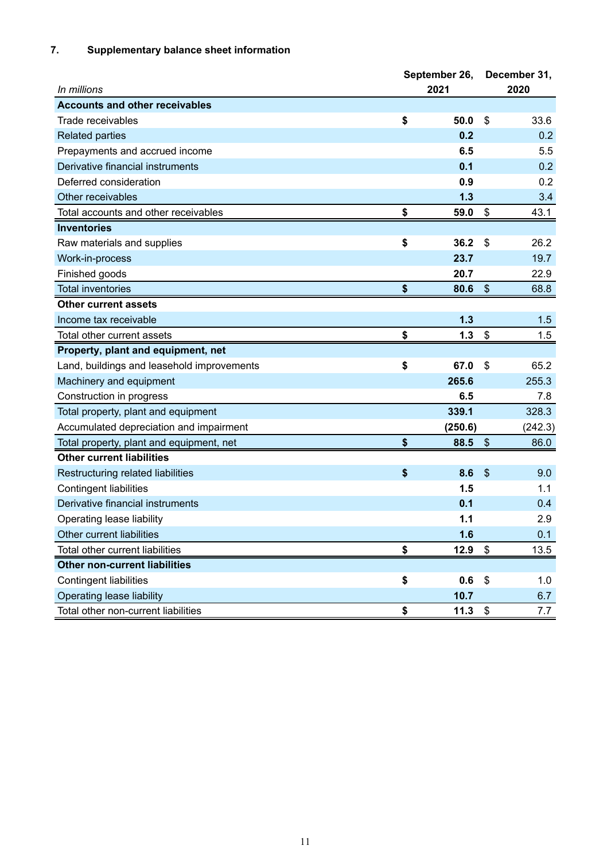## **7. Supplementary balance sheet information**

|                                            | September 26, |         |    | December 31, |
|--------------------------------------------|---------------|---------|----|--------------|
| In millions                                | 2021          |         |    | 2020         |
| <b>Accounts and other receivables</b>      |               |         |    |              |
| Trade receivables                          | \$            | 50.0    | \$ | 33.6         |
| <b>Related parties</b>                     |               | 0.2     |    | 0.2          |
| Prepayments and accrued income             |               | 6.5     |    | 5.5          |
| Derivative financial instruments           |               | 0.1     |    | 0.2          |
| Deferred consideration                     |               | 0.9     |    | 0.2          |
| Other receivables                          |               | 1.3     |    | 3.4          |
| Total accounts and other receivables       | \$            | 59.0    | \$ | 43.1         |
| <b>Inventories</b>                         |               |         |    |              |
| Raw materials and supplies                 | \$            | 36.2    | \$ | 26.2         |
| Work-in-process                            |               | 23.7    |    | 19.7         |
| Finished goods                             |               | 20.7    |    | 22.9         |
| <b>Total inventories</b>                   | \$            | 80.6    | \$ | 68.8         |
| Other current assets                       |               |         |    |              |
| Income tax receivable                      |               | 1.3     |    | 1.5          |
| Total other current assets                 | \$            | 1.3     | \$ | 1.5          |
| Property, plant and equipment, net         |               |         |    |              |
| Land, buildings and leasehold improvements | \$            | 67.0    | \$ | 65.2         |
| Machinery and equipment                    |               | 265.6   |    | 255.3        |
| Construction in progress                   |               | 6.5     |    | 7.8          |
| Total property, plant and equipment        |               | 339.1   |    | 328.3        |
| Accumulated depreciation and impairment    |               | (250.6) |    | (242.3)      |
| Total property, plant and equipment, net   | \$            | 88.5    | \$ | 86.0         |
| <b>Other current liabilities</b>           |               |         |    |              |
| Restructuring related liabilities          | \$            | 8.6     | \$ | 9.0          |
| <b>Contingent liabilities</b>              |               | 1.5     |    | 1.1          |
| Derivative financial instruments           |               | 0.1     |    | 0.4          |
| Operating lease liability                  |               | 1.1     |    | 2.9          |
| Other current liabilities                  |               | 1.6     |    | 0.1          |
| Total other current liabilities            | \$            | 12.9    | \$ | 13.5         |
| <b>Other non-current liabilities</b>       |               |         |    |              |
| <b>Contingent liabilities</b>              | \$            | 0.6     | \$ | 1.0          |
| Operating lease liability                  |               | 10.7    |    | 6.7          |
| Total other non-current liabilities        | \$            | 11.3    | \$ | 7.7          |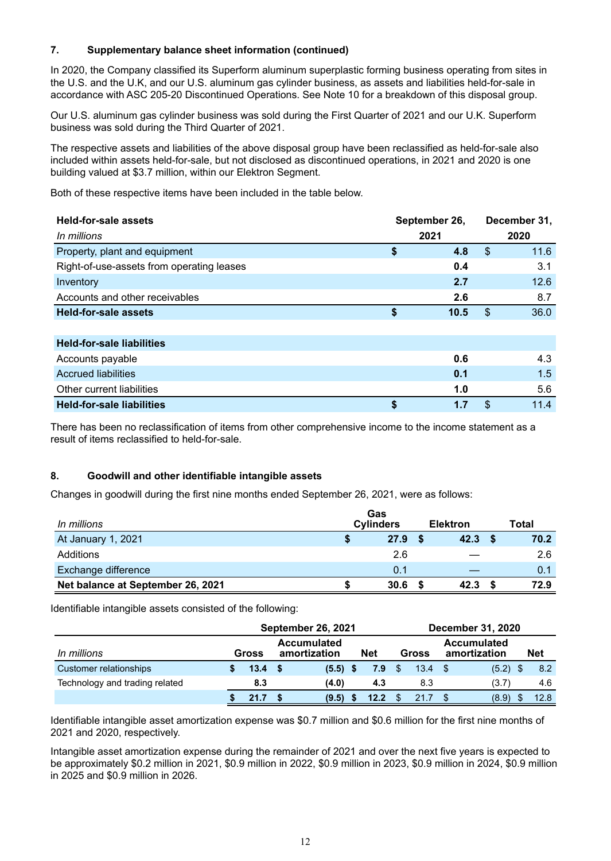## **7. Supplementary balance sheet information (continued)**

In 2020, the Company classified its Superform aluminum superplastic forming business operating from sites in the U.S. and the U.K, and our U.S. aluminum gas cylinder business, as assets and liabilities held-for-sale in accordance with ASC 205-20 Discontinued Operations. See Note 10 for a breakdown of this disposal group.

Our U.S. aluminum gas cylinder business was sold during the First Quarter of 2021 and our U.K. Superform business was sold during the Third Quarter of 2021.

The respective assets and liabilities of the above disposal group have been reclassified as held-for-sale also included within assets held-for-sale, but not disclosed as discontinued operations, in 2021 and 2020 is one building valued at \$3.7 million, within our Elektron Segment.

Both of these respective items have been included in the table below.

| <b>Held-for-sale assets</b><br>September 26, |      |              |    | December 31, |  |
|----------------------------------------------|------|--------------|----|--------------|--|
| In millions                                  | 2021 | 2020         |    |              |  |
| Property, plant and equipment                | \$   | 4.8          | \$ | 11.6         |  |
| Right-of-use-assets from operating leases    |      | 0.4          |    | 3.1          |  |
| Inventory                                    |      | 2.7          |    | 12.6         |  |
| Accounts and other receivables               |      | 2.6          |    | 8.7          |  |
| <b>Held-for-sale assets</b>                  | \$   | 10.5         | \$ | 36.0         |  |
|                                              |      |              |    |              |  |
| <b>Held-for-sale liabilities</b>             |      |              |    |              |  |
| Accounts payable                             |      | 0.6          |    | 4.3          |  |
| Acorupad liabilitica                         |      | $\mathbf{A}$ |    | 1E           |  |

| <b>Held-for-sale liabilities</b> |  |     |
|----------------------------------|--|-----|
| Other current liabilities        |  | 5.6 |
| <b>Accrued liabilities</b>       |  |     |

There has been no reclassification of items from other comprehensive income to the income statement as a result of items reclassified to held-for-sale.

## **8. Goodwill and other identifiable intangible assets**

Changes in goodwill during the first nine months ended September 26, 2021, were as follows:

| In millions                       | Gas<br><b>Cylinders</b> |      |  | <b>Elektron</b> | Total |
|-----------------------------------|-------------------------|------|--|-----------------|-------|
| At January 1, 2021                |                         | 27.9 |  | 42.3            | 70.2  |
| Additions                         |                         | 2.6  |  |                 | 2.6   |
| <b>Exchange difference</b>        |                         | 0.1  |  |                 | 0.1   |
| Net balance at September 26, 2021 |                         | 30.6 |  | 42.3            | 72.9  |

Identifiable intangible assets consisted of the following:

|                                | <b>September 26, 2021</b> |  |                                                  |  |      |           |                | <b>December 31, 2020</b> |                                    |  |      |  |  |  |  |
|--------------------------------|---------------------------|--|--------------------------------------------------|--|------|-----------|----------------|--------------------------|------------------------------------|--|------|--|--|--|--|
| In millions                    | Gross                     |  | <b>Accumulated</b><br><b>Net</b><br>amortization |  |      |           | Gross          |                          | <b>Accumulated</b><br>amortization |  | Net  |  |  |  |  |
| Customer relationships         | 13.4 <sup>5</sup>         |  | $(5.5)$ \$                                       |  | 7.9  | $\sim$ \$ | $13.4 \quad $$ |                          | $(5.2)$ \$                         |  | 8.2  |  |  |  |  |
| Technology and trading related | 8.3                       |  | (4.0)                                            |  | 4.3  |           | 8.3            |                          | (3.7)                              |  | 4.6  |  |  |  |  |
|                                | 21.7                      |  | (9.5)                                            |  | 12.2 |           | 21.7           |                          | (8.9)                              |  | 12.8 |  |  |  |  |

Identifiable intangible asset amortization expense was \$0.7 million and \$0.6 million for the first nine months of 2021 and 2020, respectively.

Intangible asset amortization expense during the remainder of 2021 and over the next five years is expected to be approximately \$0.2 million in 2021, \$0.9 million in 2022, \$0.9 million in 2023, \$0.9 million in 2024, \$0.9 million in 2025 and \$0.9 million in 2026.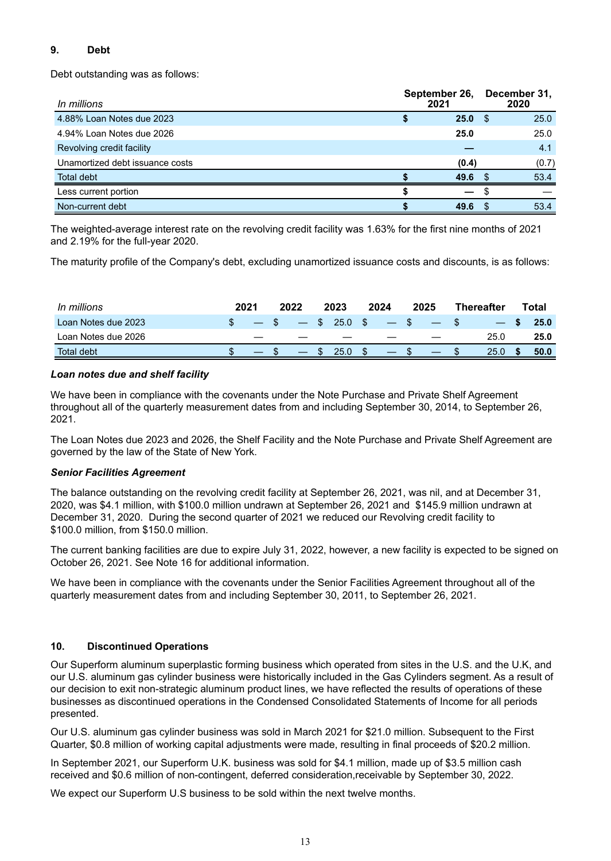## **9. Debt**

Debt outstanding was as follows:

| In millions                     | September 26,<br>2021 |    | December 31,<br>2020 |  |  |
|---------------------------------|-----------------------|----|----------------------|--|--|
| 4.88% Loan Notes due 2023       | 25.0%                 |    | 25.0                 |  |  |
| 4.94% Loan Notes due 2026       | 25.0                  |    | 25.0                 |  |  |
| Revolving credit facility       |                       |    | 4.1                  |  |  |
| Unamortized debt issuance costs | (0.4)                 |    | (0.7)                |  |  |
| Total debt                      | 49.6                  | -S | 53.4                 |  |  |
| Less current portion            |                       |    |                      |  |  |
| Non-current debt                | 49.6                  |    | 53.4                 |  |  |

The weighted-average interest rate on the revolving credit facility was 1.63% for the first nine months of 2021 and 2.19% for the full-year 2020.

The maturity profile of the Company's debt, excluding unamortized issuance costs and discounts, is as follows:

| In millions         | 2021 |    | 2022 |               | 2023           |               | 2024 | 2025   | <b>Thereafter</b> | ⊤otal |
|---------------------|------|----|------|---------------|----------------|---------------|------|--------|-------------------|-------|
| Loan Notes due 2023 |      |    |      |               | $-$ \$ 25.0 \$ |               | $-5$ | $-$ \$ |                   | 25.0  |
| Loan Notes due 2026 |      | __ |      |               |                |               |      |        | 25.0              | 25.0  |
| Total debt          |      |    |      | $\mathcal{P}$ | 25.0           | $\mathcal{S}$ |      |        | 25.0              | 50.0  |

## *Loan notes due and shelf facility*

We have been in compliance with the covenants under the Note Purchase and Private Shelf Agreement throughout all of the quarterly measurement dates from and including September 30, 2014, to September 26, 2021.

The Loan Notes due 2023 and 2026, the Shelf Facility and the Note Purchase and Private Shelf Agreement are governed by the law of the State of New York.

#### *Senior Facilities Agreement*

The balance outstanding on the revolving credit facility at September 26, 2021, was nil, and at December 31, 2020, was \$4.1 million, with \$100.0 million undrawn at September 26, 2021 and \$145.9 million undrawn at December 31, 2020. During the second quarter of 2021 we reduced our Revolving credit facility to \$100.0 million, from \$150.0 million.

The current banking facilities are due to expire July 31, 2022, however, a new facility is expected to be signed on October 26, 2021. See Note 16 for additional information.

We have been in compliance with the covenants under the Senior Facilities Agreement throughout all of the quarterly measurement dates from and including September 30, 2011, to September 26, 2021.

## **10. Discontinued Operations**

Our Superform aluminum superplastic forming business which operated from sites in the U.S. and the U.K, and our U.S. aluminum gas cylinder business were historically included in the Gas Cylinders segment. As a result of our decision to exit non-strategic aluminum product lines, we have reflected the results of operations of these businesses as discontinued operations in the Condensed Consolidated Statements of Income for all periods presented.

Our U.S. aluminum gas cylinder business was sold in March 2021 for \$21.0 million. Subsequent to the First Quarter, \$0.8 million of working capital adjustments were made, resulting in final proceeds of \$20.2 million.

In September 2021, our Superform U.K. business was sold for \$4.1 million, made up of \$3.5 million cash received and \$0.6 million of non-contingent, deferred consideration,receivable by September 30, 2022.

We expect our Superform U.S business to be sold within the next twelve months.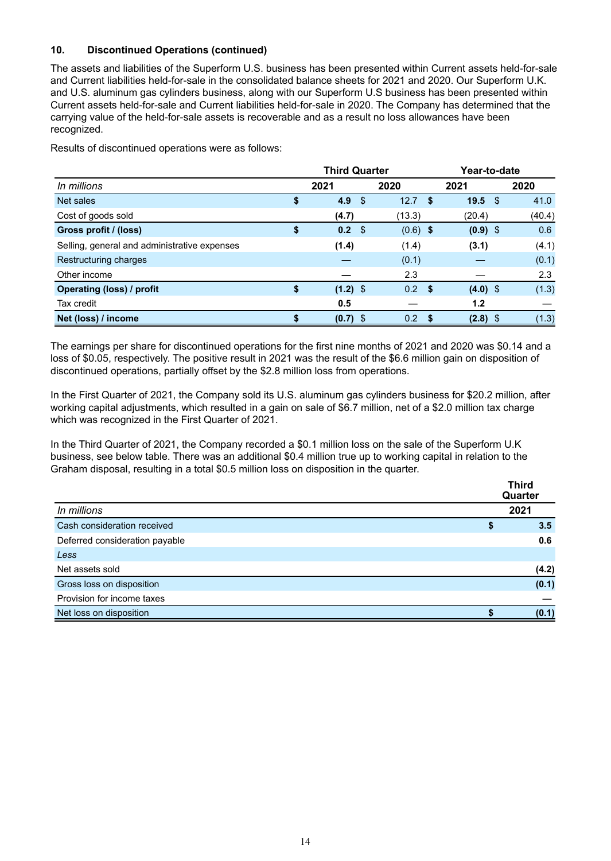## **10. Discontinued Operations (continued)**

The assets and liabilities of the Superform U.S. business has been presented within Current assets held-for-sale and Current liabilities held-for-sale in the consolidated balance sheets for 2021 and 2020. Our Superform U.K. and U.S. aluminum gas cylinders business, along with our Superform U.S business has been presented within Current assets held-for-sale and Current liabilities held-for-sale in 2020. The Company has determined that the carrying value of the held-for-sale assets is recoverable and as a result no loss allowances have been recognized.

Results of discontinued operations were as follows:

|                                              | <b>Third Quarter</b> |     |            |            | Year-to-date |      |        |  |
|----------------------------------------------|----------------------|-----|------------|------------|--------------|------|--------|--|
| In millions                                  | 2021                 |     | 2020       |            | 2021         |      | 2020   |  |
| Net sales                                    | \$<br>4.9            | -\$ | 12.7       | - \$       | 19.5         | - \$ | 41.0   |  |
| Cost of goods sold                           | (4.7)                |     | (13.3)     |            | (20.4)       |      | (40.4) |  |
| Gross profit / (loss)                        | \$<br>$0.2 \quad$    |     | $(0.6)$ \$ |            | $(0.9)$ \$   |      | 0.6    |  |
| Selling, general and administrative expenses | (1.4)                |     | (1.4)      |            | (3.1)        |      | (4.1)  |  |
| Restructuring charges                        |                      |     | (0.1)      |            |              |      | (0.1)  |  |
| Other income                                 |                      |     | 2.3        |            |              |      | 2.3    |  |
| Operating (loss) / profit                    | \$<br>$(1.2)$ \$     |     | $0.2$ \$   |            | $(4.0)$ \$   |      | (1.3)  |  |
| Tax credit                                   | 0.5                  |     |            |            | 1.2          |      |        |  |
| Net (loss) / income                          | $(0.7)$ \$           |     | 0.2        | $\sqrt{S}$ | $(2.8)$ \$   |      | (1.3)  |  |

The earnings per share for discontinued operations for the first nine months of 2021 and 2020 was \$0.14 and a loss of \$0.05, respectively. The positive result in 2021 was the result of the \$6.6 million gain on disposition of discontinued operations, partially offset by the \$2.8 million loss from operations.

In the First Quarter of 2021, the Company sold its U.S. aluminum gas cylinders business for \$20.2 million, after working capital adjustments, which resulted in a gain on sale of \$6.7 million, net of a \$2.0 million tax charge which was recognized in the First Quarter of 2021.

In the Third Quarter of 2021, the Company recorded a \$0.1 million loss on the sale of the Superform U.K business, see below table. There was an additional \$0.4 million true up to working capital in relation to the Graham disposal, resulting in a total \$0.5 million loss on disposition in the quarter.

|                                | <b>Third</b><br>Quarter |
|--------------------------------|-------------------------|
| In millions                    | 2021                    |
| Cash consideration received    | \$<br>3.5               |
| Deferred consideration payable | 0.6                     |
| Less                           |                         |
| Net assets sold                | (4.2)                   |
| Gross loss on disposition      | (0.1)                   |
| Provision for income taxes     |                         |
| Net loss on disposition        | (0.1)                   |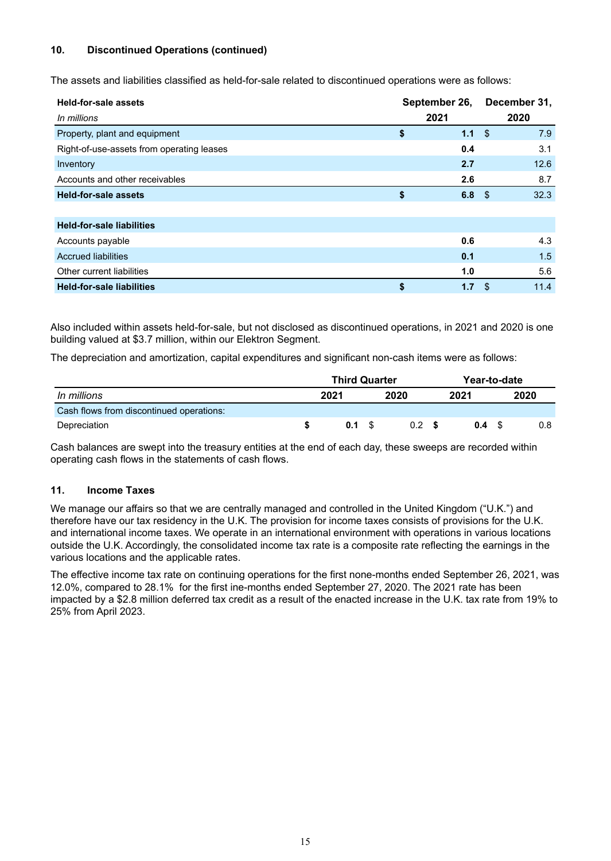## **10. Discontinued Operations (continued)**

The assets and liabilities classified as held-for-sale related to discontinued operations were as follows:

| <b>Held-for-sale assets</b>               | September 26, |      |      | December 31, |  |  |
|-------------------------------------------|---------------|------|------|--------------|--|--|
| In millions                               |               | 2021 |      | 2020         |  |  |
| Property, plant and equipment             | \$            | 1.1  | -\$  | 7.9          |  |  |
| Right-of-use-assets from operating leases |               | 0.4  |      | 3.1          |  |  |
| Inventory                                 |               | 2.7  |      | 12.6         |  |  |
| Accounts and other receivables            |               | 2.6  |      | 8.7          |  |  |
| <b>Held-for-sale assets</b>               | \$            | 6.8  | - \$ | 32.3         |  |  |
|                                           |               |      |      |              |  |  |
| <b>Held-for-sale liabilities</b>          |               |      |      |              |  |  |
| Accounts payable                          |               | 0.6  |      | 4.3          |  |  |
| <b>Accrued liabilities</b>                |               | 0.1  |      | 1.5          |  |  |
| Other current liabilities                 |               | 1.0  |      | 5.6          |  |  |
| <b>Held-for-sale liabilities</b>          | \$            | 1.7  | \$   | 11.4         |  |  |

Also included within assets held-for-sale, but not disclosed as discontinued operations, in 2021 and 2020 is one building valued at \$3.7 million, within our Elektron Segment.

The depreciation and amortization, capital expenditures and significant non-cash items were as follows:

|                                          |      | <b>Third Quarter</b> |      | Year-to-date |      |     |  |      |
|------------------------------------------|------|----------------------|------|--------------|------|-----|--|------|
| In millions                              | 2021 |                      | 2020 |              | 2021 |     |  | 2020 |
| Cash flows from discontinued operations: |      |                      |      |              |      |     |  |      |
| Depreciation                             |      | 0.1 S                |      | 0.2          |      | 0.4 |  | 0.8  |

Cash balances are swept into the treasury entities at the end of each day, these sweeps are recorded within operating cash flows in the statements of cash flows.

#### **11. Income Taxes**

We manage our affairs so that we are centrally managed and controlled in the United Kingdom ("U.K.") and therefore have our tax residency in the U.K. The provision for income taxes consists of provisions for the U.K. and international income taxes. We operate in an international environment with operations in various locations outside the U.K. Accordingly, the consolidated income tax rate is a composite rate reflecting the earnings in the various locations and the applicable rates.

The effective income tax rate on continuing operations for the first none-months ended September 26, 2021, was 12.0%, compared to 28.1% for the first ine-months ended September 27, 2020. The 2021 rate has been impacted by a \$2.8 million deferred tax credit as a result of the enacted increase in the U.K. tax rate from 19% to 25% from April 2023.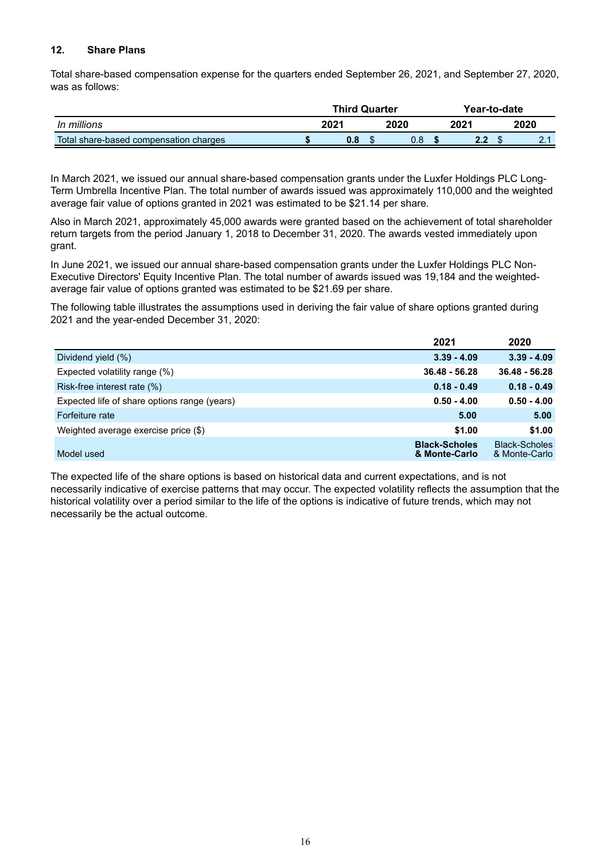#### **12. Share Plans**

Total share-based compensation expense for the quarters ended September 26, 2021, and September 27, 2020, was as follows:

|                                        | <b>Third Quarter</b> |  |      | Year-to-date |     |      |  |  |  |
|----------------------------------------|----------------------|--|------|--------------|-----|------|--|--|--|
| In millions                            | 2021                 |  | 2020 | 202′         |     | 2020 |  |  |  |
| Total share-based compensation charges | 0.8                  |  | U.Ö  |              | L.L |      |  |  |  |

In March 2021, we issued our annual share-based compensation grants under the Luxfer Holdings PLC Long-Term Umbrella Incentive Plan. The total number of awards issued was approximately 110,000 and the weighted average fair value of options granted in 2021 was estimated to be \$21.14 per share.

Also in March 2021, approximately 45,000 awards were granted based on the achievement of total shareholder return targets from the period January 1, 2018 to December 31, 2020. The awards vested immediately upon grant.

In June 2021, we issued our annual share-based compensation grants under the Luxfer Holdings PLC Non-Executive Directors' Equity Incentive Plan. The total number of awards issued was 19,184 and the weightedaverage fair value of options granted was estimated to be \$21.69 per share.

The following table illustrates the assumptions used in deriving the fair value of share options granted during 2021 and the year-ended December 31, 2020:

|                                              | 2021                                  | 2020                                  |
|----------------------------------------------|---------------------------------------|---------------------------------------|
| Dividend yield (%)                           | $3.39 - 4.09$                         | $3.39 - 4.09$                         |
| Expected volatility range (%)                | $36.48 - 56.28$                       | $36.48 - 56.28$                       |
| Risk-free interest rate (%)                  | $0.18 - 0.49$                         | $0.18 - 0.49$                         |
| Expected life of share options range (years) | $0.50 - 4.00$                         | $0.50 - 4.00$                         |
| Forfeiture rate                              | 5.00                                  | 5.00                                  |
| Weighted average exercise price (\$)         | \$1.00                                | \$1.00                                |
| Model used                                   | <b>Black-Scholes</b><br>& Monte-Carlo | <b>Black-Scholes</b><br>& Monte-Carlo |

The expected life of the share options is based on historical data and current expectations, and is not necessarily indicative of exercise patterns that may occur. The expected volatility reflects the assumption that the historical volatility over a period similar to the life of the options is indicative of future trends, which may not necessarily be the actual outcome.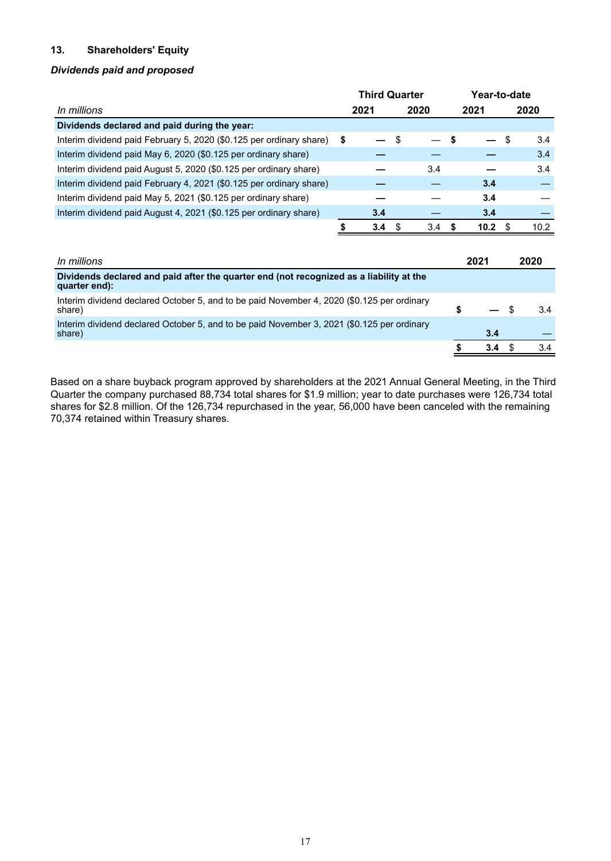## **13. Shareholders' Equity**

#### *Dividends paid and proposed*

|                                                                     | <b>Third Quarter</b> |      |   | Year-to-date |      |      |
|---------------------------------------------------------------------|----------------------|------|---|--------------|------|------|
| In millions                                                         | 2021                 | 2020 |   | 2021         |      | 2020 |
| Dividends declared and paid during the year:                        |                      |      |   |              |      |      |
| Interim dividend paid February 5, 2020 (\$0.125 per ordinary share) | \$                   |      |   |              | - \$ | 3.4  |
| Interim dividend paid May 6, 2020 (\$0.125 per ordinary share)      |                      |      |   |              |      | 3.4  |
| Interim dividend paid August 5, 2020 (\$0.125 per ordinary share)   |                      | 3.4  |   |              |      | 3.4  |
| Interim dividend paid February 4, 2021 (\$0.125 per ordinary share) |                      |      |   | 3.4          |      |      |
| Interim dividend paid May 5, 2021 (\$0.125 per ordinary share)      |                      |      |   | 3.4          |      |      |
| Interim dividend paid August 4, 2021 (\$0.125 per ordinary share)   | 3.4                  |      |   | 3.4          |      |      |
|                                                                     | 3.4                  | 3.4  | S | 10.2         |      | 10.2 |

| In millions                                                                                              | 2021 |               | 2020 |
|----------------------------------------------------------------------------------------------------------|------|---------------|------|
| Dividends declared and paid after the quarter end (not recognized as a liability at the<br>quarter end): |      |               |      |
| Interim dividend declared October 5, and to be paid November 4, 2020 (\$0.125 per ordinary<br>share)     |      |               | 34   |
| Interim dividend declared October 5, and to be paid November 3, 2021 (\$0.125 per ordinary<br>share)     |      | 3.4           |      |
|                                                                                                          |      | $3.4^{\circ}$ | 3.4  |

Based on a share buyback program approved by shareholders at the 2021 Annual General Meeting, in the Third Quarter the company purchased 88,734 total shares for \$1.9 million; year to date purchases were 126,734 total shares for \$2.8 million. Of the 126,734 repurchased in the year, 56,000 have been canceled with the remaining 70,374 retained within Treasury shares.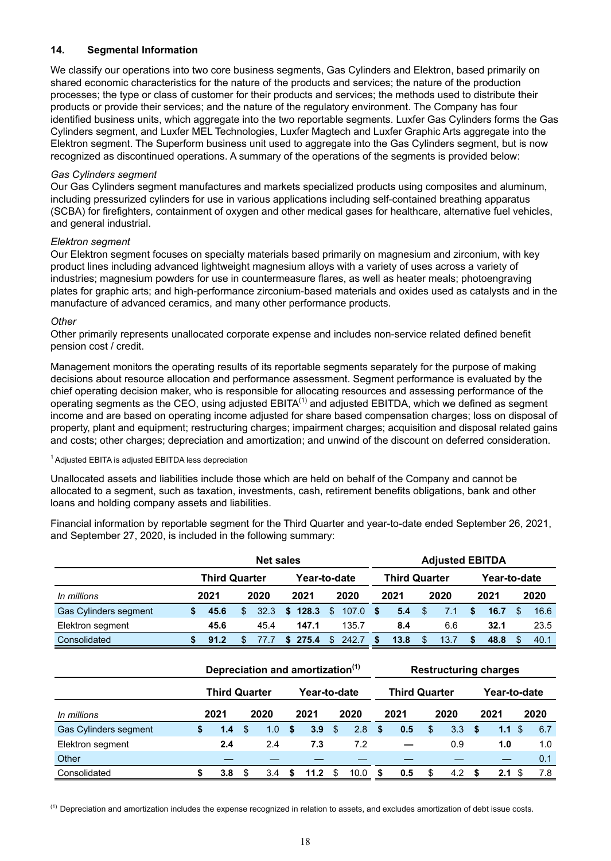## **14. Segmental Information**

We classify our operations into two core business segments, Gas Cylinders and Elektron, based primarily on shared economic characteristics for the nature of the products and services; the nature of the production processes; the type or class of customer for their products and services; the methods used to distribute their products or provide their services; and the nature of the regulatory environment. The Company has four identified business units, which aggregate into the two reportable segments. Luxfer Gas Cylinders forms the Gas Cylinders segment, and Luxfer MEL Technologies, Luxfer Magtech and Luxfer Graphic Arts aggregate into the Elektron segment. The Superform business unit used to aggregate into the Gas Cylinders segment, but is now recognized as discontinued operations. A summary of the operations of the segments is provided below:

#### *Gas Cylinders segment*

Our Gas Cylinders segment manufactures and markets specialized products using composites and aluminum, including pressurized cylinders for use in various applications including self-contained breathing apparatus (SCBA) for firefighters, containment of oxygen and other medical gases for healthcare, alternative fuel vehicles, and general industrial.

#### *Elektron segment*

Our Elektron segment focuses on specialty materials based primarily on magnesium and zirconium, with key product lines including advanced lightweight magnesium alloys with a variety of uses across a variety of industries; magnesium powders for use in countermeasure flares, as well as heater meals; photoengraving plates for graphic arts; and high-performance zirconium-based materials and oxides used as catalysts and in the manufacture of advanced ceramics, and many other performance products.

#### *Other*

Other primarily represents unallocated corporate expense and includes non-service related defined benefit pension cost / credit.

Management monitors the operating results of its reportable segments separately for the purpose of making decisions about resource allocation and performance assessment. Segment performance is evaluated by the chief operating decision maker, who is responsible for allocating resources and assessing performance of the operating segments as the CEO, using adjusted  $EBITA^{(1)}$  and adjusted EBITDA, which we defined as segment income and are based on operating income adjusted for share based compensation charges; loss on disposal of property, plant and equipment; restructuring charges; impairment charges; acquisition and disposal related gains and costs; other charges; depreciation and amortization; and unwind of the discount on deferred consideration.

#### <sup>1</sup> Adjusted EBITA is adjusted EBITDA less depreciation

Unallocated assets and liabilities include those which are held on behalf of the Company and cannot be allocated to a segment, such as taxation, investments, cash, retirement benefits obligations, bank and other loans and holding company assets and liabilities.

Financial information by reportable segment for the Third Quarter and year-to-date ended September 26, 2021, and September 27, 2020, is included in the following summary:

|                       |                                                                                      | <b>Net sales</b>     |    |      |     |              |    | <b>Adjusted EBITDA</b>                                               |     |                      |    |      |              |      |      |      |  |  |
|-----------------------|--------------------------------------------------------------------------------------|----------------------|----|------|-----|--------------|----|----------------------------------------------------------------------|-----|----------------------|----|------|--------------|------|------|------|--|--|
|                       |                                                                                      | <b>Third Quarter</b> |    |      |     | Year-to-date |    |                                                                      |     | <b>Third Quarter</b> |    |      | Year-to-date |      |      |      |  |  |
| In millions           |                                                                                      | 2021                 |    | 2020 |     | 2021         |    | 2020                                                                 |     | 2021                 |    | 2020 |              | 2021 |      | 2020 |  |  |
| Gas Cylinders segment | \$                                                                                   | 45.6                 | \$ | 32.3 | S.  | 128.3        | \$ | 107.0                                                                | \$. | 5.4                  | \$ | 7.1  | \$           | 16.7 | \$   | 16.6 |  |  |
| Elektron segment      |                                                                                      | 45.6                 |    | 45.4 |     | 147.1        |    | 135.7                                                                |     | 8.4                  |    | 6.6  |              | 32.1 |      | 23.5 |  |  |
| Consolidated          | \$                                                                                   | 91.2                 | \$ | 77.7 | \$. | 275.4        | \$ | 242.7                                                                | S   | 13.8                 | \$ | 13.7 | S            | 48.8 | \$.  | 40.1 |  |  |
|                       | Depreciation and amortization <sup>(1)</sup><br><b>Third Quarter</b><br>Year-to-date |                      |    |      |     |              |    | <b>Restructuring charges</b><br><b>Third Quarter</b><br>Year-to-date |     |                      |    |      |              |      |      |      |  |  |
| In millions           |                                                                                      | 2021                 |    | 2020 |     | 2021         |    | 2020                                                                 |     | 2021                 |    | 2020 |              | 2021 |      | 2020 |  |  |
| Gas Cylinders segment | \$                                                                                   | 1.4                  | \$ | 1.0  | \$  | 3.9          | \$ | 2.8                                                                  | S   | 0.5                  | \$ | 3.3  | \$           | 1.1  | -\$  | 6.7  |  |  |
| Elektron segment      |                                                                                      | 2.4                  |    | 2.4  |     | 7.3          |    | 7.2                                                                  |     |                      |    | 0.9  |              | 1.0  |      | 1.0  |  |  |
| Other                 |                                                                                      |                      |    |      |     |              |    |                                                                      |     |                      |    |      |              |      |      | 0.1  |  |  |
| Consolidated          | \$                                                                                   | 3.8                  | \$ | 3.4  | \$  | 11.2         | \$ | 10.0                                                                 | \$  | 0.5                  | \$ | 4.2  | S            | 2.1  | - \$ | 7.8  |  |  |

 $<sup>(1)</sup>$  Depreciation and amortization includes the expense recognized in relation to assets, and excludes amortization of debt issue costs.</sup>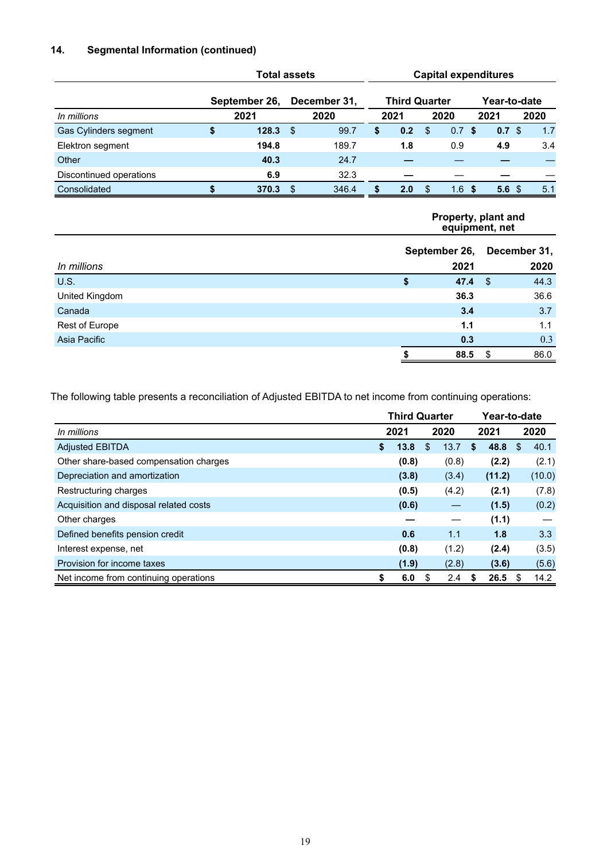## **14. Segmental Information (continued)**

|                         | <b>Total assets</b> |     |              |    |                      | <b>Capital expenditures</b> |                  |     |                  |  |      |  |  |  |  |
|-------------------------|---------------------|-----|--------------|----|----------------------|-----------------------------|------------------|-----|------------------|--|------|--|--|--|--|
|                         | September 26,       |     | December 31, |    | <b>Third Quarter</b> |                             |                  |     | Year-to-date     |  |      |  |  |  |  |
| In millions             | 2021                |     | 2020         |    | 2021                 |                             | 2020             |     | 2021             |  | 2020 |  |  |  |  |
| Gas Cylinders segment   | \$<br>128.3         | \$  | 99.7         | \$ | 0.2                  | \$.                         | 0.7 <sup>5</sup> |     | 0.7 <sup>5</sup> |  | 1.7  |  |  |  |  |
| Elektron segment        | 194.8               |     | 189.7        |    | 1.8                  |                             | 0.9              |     | 4.9              |  | 3.4  |  |  |  |  |
| Other                   | 40.3                |     | 24.7         |    |                      |                             |                  |     |                  |  |      |  |  |  |  |
| Discontinued operations | 6.9                 |     | 32.3         |    |                      |                             |                  |     |                  |  |      |  |  |  |  |
| Consolidated            | 370.3               | \$. | 346.4        | S  | 2.0                  | £.                          | 1.6              | -\$ | 5.6 <sup>°</sup> |  | 5.1  |  |  |  |  |
|                         |                     |     |              |    |                      |                             |                  |     |                  |  |      |  |  |  |  |

#### **Property, plant and equipment, net**

|                | September 26, |      | December 31, |      |
|----------------|---------------|------|--------------|------|
| In millions    |               | 2021 |              | 2020 |
| U.S.           | \$            | 47.4 | - \$         | 44.3 |
| United Kingdom |               | 36.3 |              | 36.6 |
| Canada         |               | 3.4  |              | 3.7  |
| Rest of Europe |               | 1.1  |              | 1.1  |
| Asia Pacific   |               | 0.3  |              | 0.3  |
|                |               | 88.5 |              | 86.0 |

The following table presents a reconciliation of Adjusted EBITDA to net income from continuing operations:

|                                        |              | <b>Third Quarter</b> |    |               | Year-to-date |        |   |                  |
|----------------------------------------|--------------|----------------------|----|---------------|--------------|--------|---|------------------|
| In millions                            | 2021<br>2020 |                      |    |               |              | 2021   |   | 2020             |
| <b>Adjusted EBITDA</b>                 | \$           | 13.8                 | \$ | 13.7          | S            | 48.8   | S | 40.1             |
| Other share-based compensation charges |              | (0.8)                |    | (0.8)         |              | (2.2)  |   | (2.1)            |
| Depreciation and amortization          |              | (3.8)                |    | (3.4)         |              | (11.2) |   | (10.0)           |
| Restructuring charges                  |              | (0.5)                |    | (4.2)         |              | (2.1)  |   | (7.8)            |
| Acquisition and disposal related costs |              | (0.6)                |    |               |              | (1.5)  |   | (0.2)            |
| Other charges                          |              |                      |    |               |              | (1.1)  |   |                  |
| Defined benefits pension credit        |              | 0.6                  |    | 1.1           |              | 1.8    |   | 3.3 <sub>2</sub> |
| Interest expense, net                  |              | (0.8)                |    | (1.2)         |              | (2.4)  |   | (3.5)            |
| Provision for income taxes             |              | (1.9)                |    | (2.8)         |              | (3.6)  |   | (5.6)            |
| Net income from continuing operations  | \$           | 6.0                  | S  | $2.4^{\circ}$ | S            | 26.5   | S | 14.2             |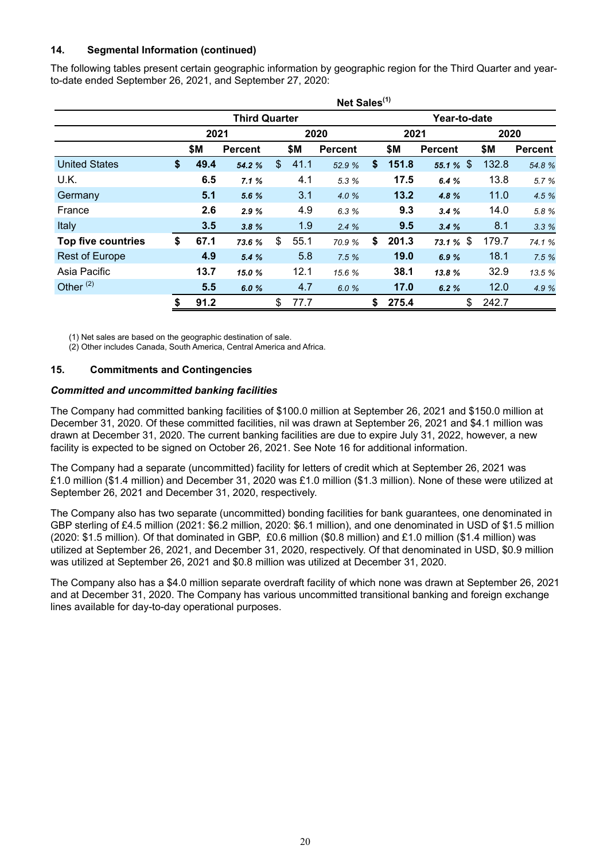## **14. Segmental Information (continued)**

The following tables present certain geographic information by geographic region for the Third Quarter and yearto-date ended September 26, 2021, and September 27, 2020:

|                       |            |                      |               |      | Net Sales <sup>(1)</sup> |              |                |             |                |  |  |  |  |
|-----------------------|------------|----------------------|---------------|------|--------------------------|--------------|----------------|-------------|----------------|--|--|--|--|
|                       |            | <b>Third Quarter</b> |               |      |                          | Year-to-date |                |             |                |  |  |  |  |
|                       | 2021       |                      |               |      | 2020                     | 2021         |                |             | 2020           |  |  |  |  |
|                       | \$Μ        | <b>Percent</b>       |               | \$Μ  | <b>Percent</b>           | \$М          | <b>Percent</b> | \$Μ         | <b>Percent</b> |  |  |  |  |
| <b>United States</b>  | \$<br>49.4 | 54.2 %               | $\frac{1}{2}$ | 41.1 | 52.9 %                   | \$<br>151.8  | 55.1 $%$       | 132.8       | 54.8 %         |  |  |  |  |
| U.K.                  | 6.5        | 7.1%                 |               | 4.1  | 5.3 %                    | 17.5         | 6.4%           | 13.8        | 5.7 %          |  |  |  |  |
| Germany               | 5.1        | 5.6 %                |               | 3.1  | 4.0 %                    | 13.2         | 4.8%           | 11.0        | 4.5 %          |  |  |  |  |
| France                | 2.6        | 2.9%                 |               | 4.9  | 6.3 %                    | 9.3          | 3.4%           | 14.0        | 5.8 %          |  |  |  |  |
| Italy                 | 3.5        | 3.8%                 |               | 1.9  | 2.4%                     | 9.5          | 3.4%           | 8.1         | 3.3%           |  |  |  |  |
| Top five countries    | \$<br>67.1 | 73.6 %               | \$            | 55.1 | 70.9%                    | \$<br>201.3  | 73.1 % $$$     | 179.7       | 74.1 %         |  |  |  |  |
| <b>Rest of Europe</b> | 4.9        | 5.4%                 |               | 5.8  | 7.5%                     | 19.0         | 6.9%           | 18.1        | 7.5%           |  |  |  |  |
| Asia Pacific          | 13.7       | 15.0%                |               | 12.1 | 15.6 %                   | 38.1         | 13.8 %         | 32.9        | 13.5 %         |  |  |  |  |
| Other <sup>(2)</sup>  | 5.5        | 6.0%                 |               | 4.7  | 6.0%                     | 17.0         | 6.2%           | 12.0        | 4.9 %          |  |  |  |  |
|                       | \$<br>91.2 |                      | \$            | 77.7 |                          | \$<br>275.4  |                | \$<br>242.7 |                |  |  |  |  |

(1) Net sales are based on the geographic destination of sale.

(2) Other includes Canada, South America, Central America and Africa.

#### **15. Commitments and Contingencies**

#### *Committed and uncommitted banking facilities*

The Company had committed banking facilities of \$100.0 million at September 26, 2021 and \$150.0 million at December 31, 2020. Of these committed facilities, nil was drawn at September 26, 2021 and \$4.1 million was drawn at December 31, 2020. The current banking facilities are due to expire July 31, 2022, however, a new facility is expected to be signed on October 26, 2021. See Note 16 for additional information.

The Company had a separate (uncommitted) facility for letters of credit which at September 26, 2021 was £1.0 million (\$1.4 million) and December 31, 2020 was £1.0 million (\$1.3 million). None of these were utilized at September 26, 2021 and December 31, 2020, respectively.

The Company also has two separate (uncommitted) bonding facilities for bank guarantees, one denominated in GBP sterling of £4.5 million (2021: \$6.2 million, 2020: \$6.1 million), and one denominated in USD of \$1.5 million (2020: \$1.5 million). Of that dominated in GBP, £0.6 million (\$0.8 million) and £1.0 million (\$1.4 million) was utilized at September 26, 2021, and December 31, 2020, respectively. Of that denominated in USD, \$0.9 million was utilized at September 26, 2021 and \$0.8 million was utilized at December 31, 2020.

The Company also has a \$4.0 million separate overdraft facility of which none was drawn at September 26, 2021 and at December 31, 2020. The Company has various uncommitted transitional banking and foreign exchange lines available for day-to-day operational purposes.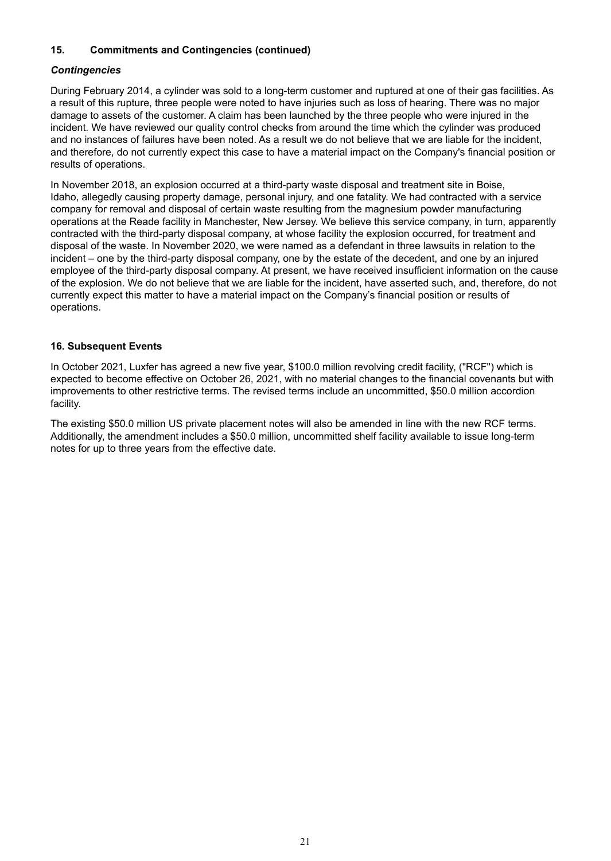## **15. Commitments and Contingencies (continued)**

#### *Contingencies*

During February 2014, a cylinder was sold to a long-term customer and ruptured at one of their gas facilities. As a result of this rupture, three people were noted to have injuries such as loss of hearing. There was no major damage to assets of the customer. A claim has been launched by the three people who were injured in the incident. We have reviewed our quality control checks from around the time which the cylinder was produced and no instances of failures have been noted. As a result we do not believe that we are liable for the incident, and therefore, do not currently expect this case to have a material impact on the Company's financial position or results of operations.

In November 2018, an explosion occurred at a third-party waste disposal and treatment site in Boise, Idaho, allegedly causing property damage, personal injury, and one fatality. We had contracted with a service company for removal and disposal of certain waste resulting from the magnesium powder manufacturing operations at the Reade facility in Manchester, New Jersey. We believe this service company, in turn, apparently contracted with the third-party disposal company, at whose facility the explosion occurred, for treatment and disposal of the waste. In November 2020, we were named as a defendant in three lawsuits in relation to the incident – one by the third-party disposal company, one by the estate of the decedent, and one by an injured employee of the third-party disposal company. At present, we have received insufficient information on the cause of the explosion. We do not believe that we are liable for the incident, have asserted such, and, therefore, do not currently expect this matter to have a material impact on the Company's financial position or results of operations.

#### **16. Subsequent Events**

In October 2021, Luxfer has agreed a new five year, \$100.0 million revolving credit facility, ("RCF") which is expected to become effective on October 26, 2021, with no material changes to the financial covenants but with improvements to other restrictive terms. The revised terms include an uncommitted, \$50.0 million accordion facility.

The existing \$50.0 million US private placement notes will also be amended in line with the new RCF terms. Additionally, the amendment includes a \$50.0 million, uncommitted shelf facility available to issue long-term notes for up to three years from the effective date.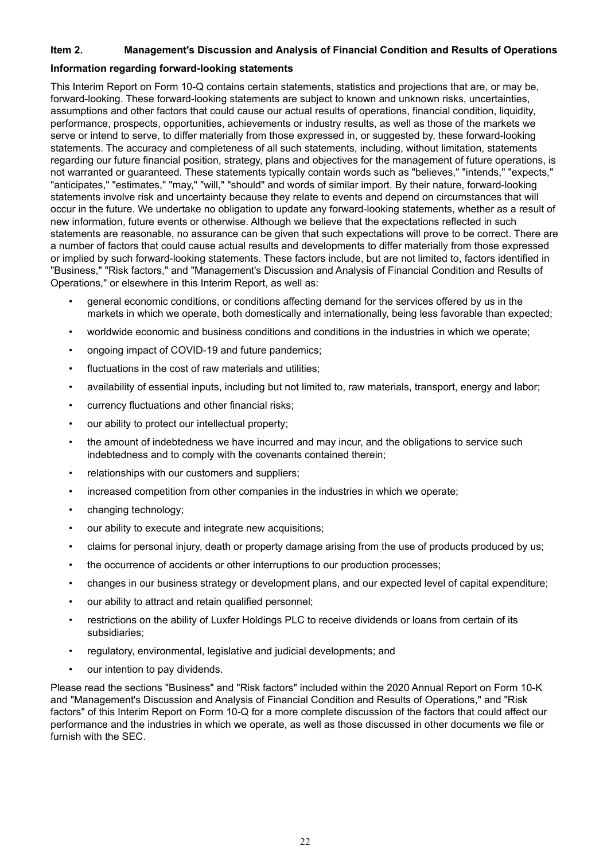#### **Item 2. Management's Discussion and Analysis of Financial Condition and Results of Operations**

#### **Information regarding forward-looking statements**

This Interim Report on Form 10-Q contains certain statements, statistics and projections that are, or may be, forward-looking. These forward-looking statements are subject to known and unknown risks, uncertainties, assumptions and other factors that could cause our actual results of operations, financial condition, liquidity, performance, prospects, opportunities, achievements or industry results, as well as those of the markets we serve or intend to serve, to differ materially from those expressed in, or suggested by, these forward-looking statements. The accuracy and completeness of all such statements, including, without limitation, statements regarding our future financial position, strategy, plans and objectives for the management of future operations, is not warranted or guaranteed. These statements typically contain words such as "believes," "intends," "expects," "anticipates," "estimates," "may," "will," "should" and words of similar import. By their nature, forward-looking statements involve risk and uncertainty because they relate to events and depend on circumstances that will occur in the future. We undertake no obligation to update any forward-looking statements, whether as a result of new information, future events or otherwise. Although we believe that the expectations reflected in such statements are reasonable, no assurance can be given that such expectations will prove to be correct. There are a number of factors that could cause actual results and developments to differ materially from those expressed or implied by such forward-looking statements. These factors include, but are not limited to, factors identified in "Business," "Risk factors," and "Management's Discussion and Analysis of Financial Condition and Results of Operations," or elsewhere in this Interim Report, as well as:

- general economic conditions, or conditions affecting demand for the services offered by us in the markets in which we operate, both domestically and internationally, being less favorable than expected;
- worldwide economic and business conditions and conditions in the industries in which we operate;
- ongoing impact of COVID-19 and future pandemics;
- fluctuations in the cost of raw materials and utilities;
- availability of essential inputs, including but not limited to, raw materials, transport, energy and labor;
- currency fluctuations and other financial risks;
- our ability to protect our intellectual property;
- the amount of indebtedness we have incurred and may incur, and the obligations to service such indebtedness and to comply with the covenants contained therein;
- relationships with our customers and suppliers;
- increased competition from other companies in the industries in which we operate;
- changing technology;
- our ability to execute and integrate new acquisitions;
- claims for personal injury, death or property damage arising from the use of products produced by us;
- the occurrence of accidents or other interruptions to our production processes;
- changes in our business strategy or development plans, and our expected level of capital expenditure;
- our ability to attract and retain qualified personnel;
- restrictions on the ability of Luxfer Holdings PLC to receive dividends or loans from certain of its subsidiaries;
- regulatory, environmental, legislative and judicial developments; and
- our intention to pay dividends.

Please read the sections "Business" and "Risk factors" included within the 2020 Annual Report on Form 10-K and "Management's Discussion and Analysis of Financial Condition and Results of Operations," and "Risk factors" of this Interim Report on Form 10-Q for a more complete discussion of the factors that could affect our performance and the industries in which we operate, as well as those discussed in other documents we file or furnish with the SEC.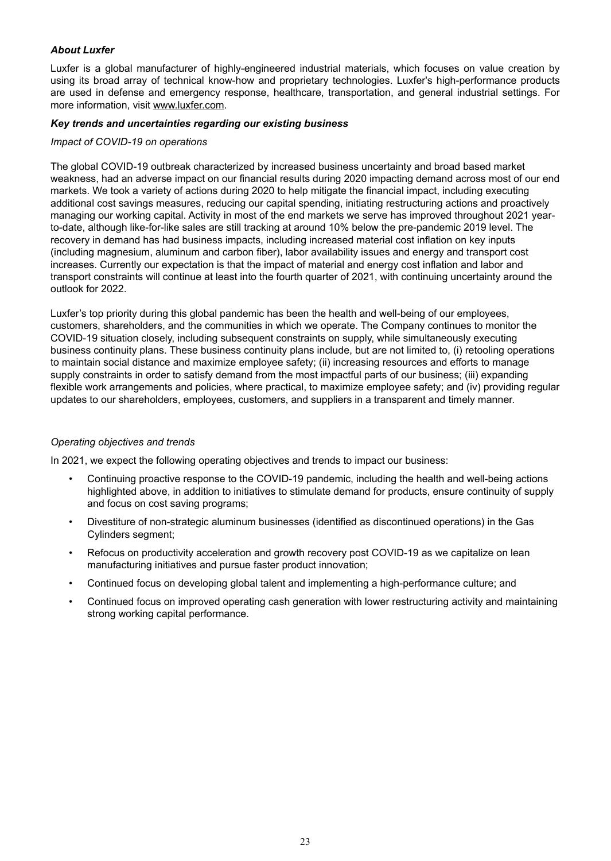## *About Luxfer*

Luxfer is a global manufacturer of highly-engineered industrial materials, which focuses on value creation by using its broad array of technical know-how and proprietary technologies. Luxfer's high-performance products are used in defense and emergency response, healthcare, transportation, and general industrial settings. For more information, visit www.luxfer.com.

#### *Key trends and uncertainties regarding our existing business*

#### *Impact of COVID-19 on operations*

The global COVID-19 outbreak characterized by increased business uncertainty and broad based market weakness, had an adverse impact on our financial results during 2020 impacting demand across most of our end markets. We took a variety of actions during 2020 to help mitigate the financial impact, including executing additional cost savings measures, reducing our capital spending, initiating restructuring actions and proactively managing our working capital. Activity in most of the end markets we serve has improved throughout 2021 yearto-date, although like-for-like sales are still tracking at around 10% below the pre-pandemic 2019 level. The recovery in demand has had business impacts, including increased material cost inflation on key inputs (including magnesium, aluminum and carbon fiber), labor availability issues and energy and transport cost increases. Currently our expectation is that the impact of material and energy cost inflation and labor and transport constraints will continue at least into the fourth quarter of 2021, with continuing uncertainty around the outlook for 2022.

Luxfer's top priority during this global pandemic has been the health and well-being of our employees, customers, shareholders, and the communities in which we operate. The Company continues to monitor the COVID-19 situation closely, including subsequent constraints on supply, while simultaneously executing business continuity plans. These business continuity plans include, but are not limited to, (i) retooling operations to maintain social distance and maximize employee safety; (ii) increasing resources and efforts to manage supply constraints in order to satisfy demand from the most impactful parts of our business; (iii) expanding flexible work arrangements and policies, where practical, to maximize employee safety; and (iv) providing regular updates to our shareholders, employees, customers, and suppliers in a transparent and timely manner.

#### *Operating objectives and trends*

In 2021, we expect the following operating objectives and trends to impact our business:

- Continuing proactive response to the COVID-19 pandemic, including the health and well-being actions highlighted above, in addition to initiatives to stimulate demand for products, ensure continuity of supply and focus on cost saving programs;
- Divestiture of non-strategic aluminum businesses (identified as discontinued operations) in the Gas Cylinders segment;
- Refocus on productivity acceleration and growth recovery post COVID-19 as we capitalize on lean manufacturing initiatives and pursue faster product innovation;
- Continued focus on developing global talent and implementing a high-performance culture; and
- Continued focus on improved operating cash generation with lower restructuring activity and maintaining strong working capital performance.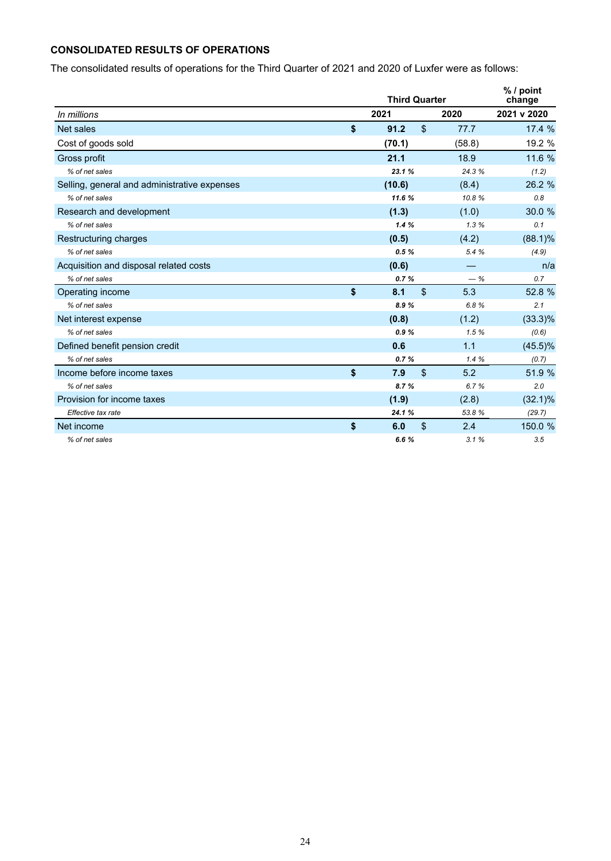## **CONSOLIDATED RESULTS OF OPERATIONS**

The consolidated results of operations for the Third Quarter of 2021 and 2020 of Luxfer were as follows:

|                                              | <b>Third Quarter</b> |                |        | $%$ / point<br>change |
|----------------------------------------------|----------------------|----------------|--------|-----------------------|
| In millions                                  | 2021                 |                | 2020   | 2021 v 2020           |
| Net sales                                    | \$<br>91.2           | $\mathfrak{S}$ | 77.7   | 17.4 %                |
| Cost of goods sold                           | (70.1)               |                | (58.8) | 19.2 %                |
| Gross profit                                 | 21.1                 |                | 18.9   | 11.6 %                |
| % of net sales                               | 23.1%                |                | 24.3 % | (1.2)                 |
| Selling, general and administrative expenses | (10.6)               |                | (8.4)  | 26.2 %                |
| % of net sales                               | 11.6 %               |                | 10.8%  | 0.8                   |
| Research and development                     | (1.3)                |                | (1.0)  | 30.0 %                |
| % of net sales                               | 1.4%                 |                | 1.3%   | 0.1                   |
| Restructuring charges                        | (0.5)                |                | (4.2)  | $(88.1)\%$            |
| % of net sales                               | 0.5%                 |                | 5.4 %  | (4.9)                 |
| Acquisition and disposal related costs       | (0.6)                |                |        | n/a                   |
| % of net sales                               | 0.7%                 |                | $-$ %  | 0.7                   |
| Operating income                             | \$<br>8.1            | $\mathfrak{L}$ | 5.3    | 52.8 %                |
| % of net sales                               | 8.9%                 |                | 6.8%   | 2.1                   |
| Net interest expense                         | (0.8)                |                | (1.2)  | $(33.3)\%$            |
| % of net sales                               | 0.9%                 |                | 1.5%   | (0.6)                 |
| Defined benefit pension credit               | 0.6                  |                | 1.1    | $(45.5)\%$            |
| % of net sales                               | 0.7%                 |                | 1.4%   | (0.7)                 |
| Income before income taxes                   | \$<br>7.9            | $\mathsf{\$}$  | 5.2    | 51.9 %                |
| % of net sales                               | 8.7%                 |                | 6.7%   | 2.0                   |
| Provision for income taxes                   | (1.9)                |                | (2.8)  | $(32.1)\%$            |
| Effective tax rate                           | 24.1 %               |                | 53.8%  | (29.7)                |
| Net income                                   | \$<br>6.0            | \$             | 2.4    | 150.0 %               |
| % of net sales                               | 6.6%                 |                | 3.1%   | 3.5                   |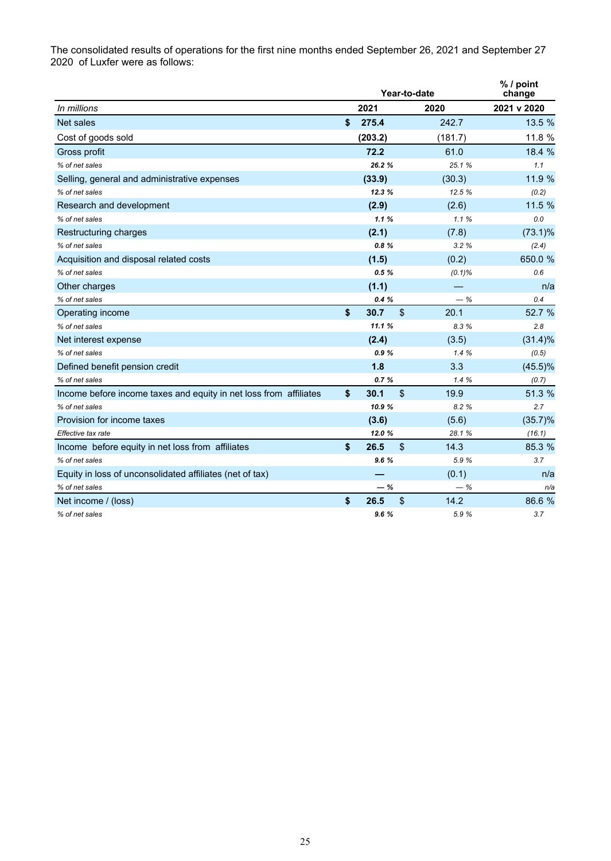The consolidated results of operations for the first nine months ended September 26, 2021 and September 27 2020 of Luxfer were as follows:

|                                                                   |             | Year-to-date            | % / point<br>change |             |
|-------------------------------------------------------------------|-------------|-------------------------|---------------------|-------------|
| In millions                                                       | 2021        |                         | 2020                | 2021 v 2020 |
| Net sales                                                         | \$<br>275.4 |                         | 242.7               | 13.5 %      |
| Cost of goods sold                                                | (203.2)     |                         | (181.7)             | 11.8 %      |
| Gross profit                                                      | 72.2        |                         | 61.0                | 18.4 %      |
| % of net sales                                                    | 26.2%       |                         | 25.1%               | 1.1         |
| Selling, general and administrative expenses                      | (33.9)      |                         | (30.3)              | 11.9 %      |
| % of net sales                                                    | 12.3%       |                         | 12.5%               | (0.2)       |
| Research and development                                          | (2.9)       |                         | (2.6)               | 11.5 %      |
| % of net sales                                                    | 1.1%        |                         | 1.1%                | 0.0         |
| Restructuring charges                                             | (2.1)       |                         | (7.8)               | $(73.1)\%$  |
| % of net sales                                                    | 0.8%        |                         | 3.2%                | (2.4)       |
| Acquisition and disposal related costs                            | (1.5)       |                         | (0.2)               | 650.0 %     |
| % of net sales                                                    | 0.5%        |                         | $(0.1)\%$           | 0.6         |
| Other charges                                                     | (1.1)       |                         |                     | n/a         |
| % of net sales                                                    | 0.4%        |                         | $-$ %               | 0.4         |
| Operating income                                                  | \$<br>30.7  | $\sqrt[6]{\frac{1}{2}}$ | 20.1                | 52.7 %      |
| % of net sales                                                    | 11.1%       |                         | 8.3%                | 2.8         |
| Net interest expense                                              | (2.4)       |                         | (3.5)               | $(31.4)\%$  |
| % of net sales                                                    | 0.9%        |                         | 1.4%                | (0.5)       |
| Defined benefit pension credit                                    | 1.8         |                         | 3.3                 | $(45.5)\%$  |
| % of net sales                                                    | 0.7%        |                         | 1.4%                | (0.7)       |
| Income before income taxes and equity in net loss from affiliates | \$<br>30.1  | $\sqrt[6]{\frac{1}{2}}$ | 19.9                | 51.3 %      |
| % of net sales                                                    | 10.9%       |                         | 8.2%                | 2.7         |
| Provision for income taxes                                        | (3.6)       |                         | (5.6)               | $(35.7)\%$  |
| Effective tax rate                                                | 12.0%       |                         | 28.1%               | (16.1)      |
| Income before equity in net loss from affiliates                  | \$<br>26.5  | $\sqrt[6]{\frac{1}{2}}$ | 14.3                | 85.3 %      |
| % of net sales                                                    | 9.6%        |                         | 5.9%                | 3.7         |
| Equity in loss of unconsolidated affiliates (net of tax)          |             |                         | (0.1)               | n/a         |
| % of net sales                                                    | - %         |                         | $-$ %               | n/a         |
| Net income / (loss)                                               | \$<br>26.5  | \$                      | 14.2                | 86.6 %      |
| % of net sales                                                    | 9.6%        |                         | 5.9 %               | 3.7         |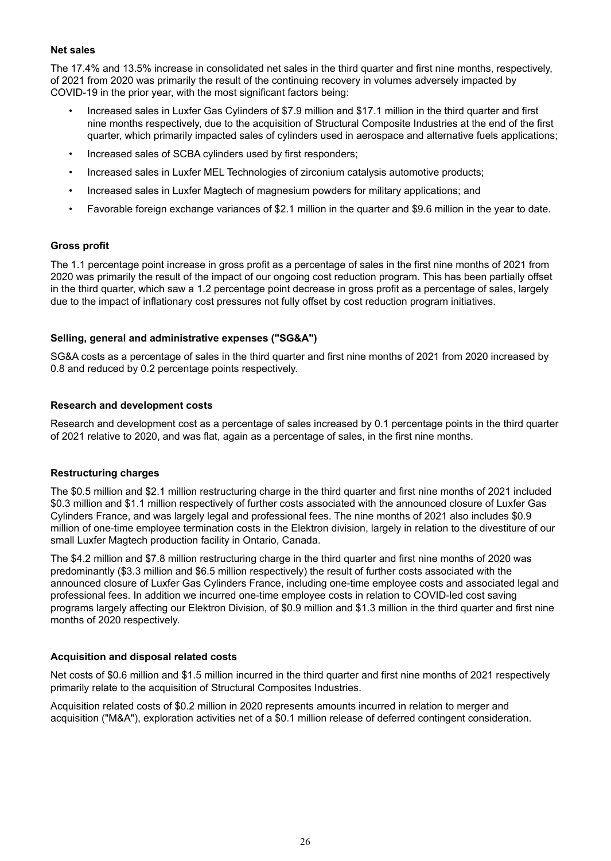#### **Net sales**

The 17.4% and 13.5% increase in consolidated net sales in the third quarter and first nine months, respectively, of 2021 from 2020 was primarily the result of the continuing recovery in volumes adversely impacted by COVID-19 in the prior year, with the most significant factors being:

- Increased sales in Luxfer Gas Cylinders of \$7.9 million and \$17.1 million in the third quarter and first nine months respectively, due to the acquisition of Structural Composite Industries at the end of the first quarter, which primarily impacted sales of cylinders used in aerospace and alternative fuels applications;
- Increased sales of SCBA cylinders used by first responders;
- Increased sales in Luxfer MEL Technologies of zirconium catalysis automotive products;
- Increased sales in Luxfer Magtech of magnesium powders for military applications; and
- Favorable foreign exchange variances of \$2.1 million in the quarter and \$9.6 million in the year to date.

#### **Gross profit**

The 1.1 percentage point increase in gross profit as a percentage of sales in the first nine months of 2021 from 2020 was primarily the result of the impact of our ongoing cost reduction program. This has been partially offset in the third quarter, which saw a 1.2 percentage point decrease in gross profit as a percentage of sales, largely due to the impact of inflationary cost pressures not fully offset by cost reduction program initiatives.

#### **Selling, general and administrative expenses ("SG&A")**

SG&A costs as a percentage of sales in the third quarter and first nine months of 2021 from 2020 increased by 0.8 and reduced by 0.2 percentage points respectively.

#### **Research and development costs**

Research and development cost as a percentage of sales increased by 0.1 percentage points in the third quarter of 2021 relative to 2020, and was flat, again as a percentage of sales, in the first nine months.

#### **Restructuring charges**

The \$0.5 million and \$2.1 million restructuring charge in the third quarter and first nine months of 2021 included \$0.3 million and \$1.1 million respectively of further costs associated with the announced closure of Luxfer Gas Cylinders France, and was largely legal and professional fees. The nine months of 2021 also includes \$0.9 million of one-time employee termination costs in the Elektron division, largely in relation to the divestiture of our small Luxfer Magtech production facility in Ontario, Canada.

The \$4.2 million and \$7.8 million restructuring charge in the third quarter and first nine months of 2020 was predominantly (\$3.3 million and \$6.5 million respectively) the result of further costs associated with the announced closure of Luxfer Gas Cylinders France, including one-time employee costs and associated legal and professional fees. In addition we incurred one-time employee costs in relation to COVID-led cost saving programs largely affecting our Elektron Division, of \$0.9 million and \$1.3 million in the third quarter and first nine months of 2020 respectively.

#### **Acquisition and disposal related costs**

Net costs of \$0.6 million and \$1.5 million incurred in the third quarter and first nine months of 2021 respectively primarily relate to the acquisition of Structural Composites Industries.

Acquisition related costs of \$0.2 million in 2020 represents amounts incurred in relation to merger and acquisition ("M&A"), exploration activities net of a \$0.1 million release of deferred contingent consideration.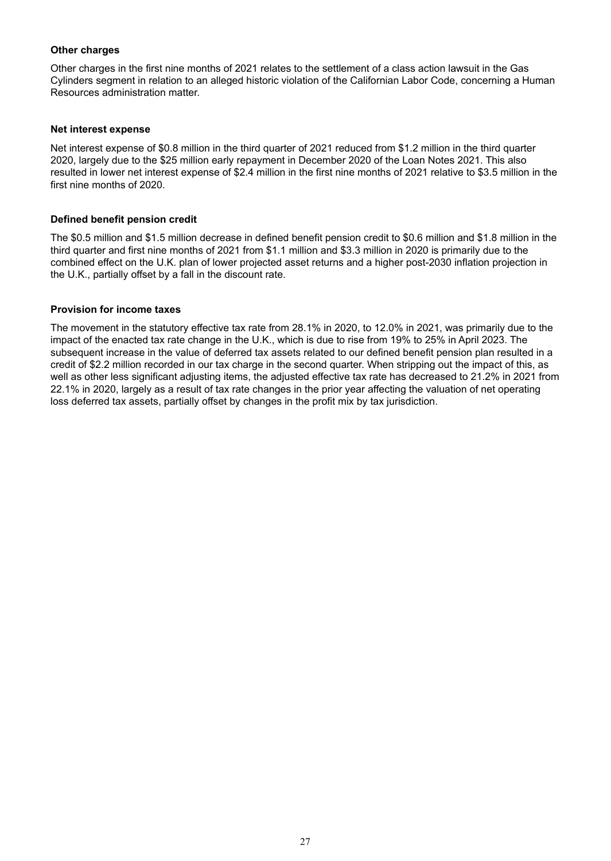#### **Other charges**

Other charges in the first nine months of 2021 relates to the settlement of a class action lawsuit in the Gas Cylinders segment in relation to an alleged historic violation of the Californian Labor Code, concerning a Human Resources administration matter.

#### **Net interest expense**

Net interest expense of \$0.8 million in the third quarter of 2021 reduced from \$1.2 million in the third quarter 2020, largely due to the \$25 million early repayment in December 2020 of the Loan Notes 2021. This also resulted in lower net interest expense of \$2.4 million in the first nine months of 2021 relative to \$3.5 million in the first nine months of 2020.

#### **Defined benefit pension credit**

The \$0.5 million and \$1.5 million decrease in defined benefit pension credit to \$0.6 million and \$1.8 million in the third quarter and first nine months of 2021 from \$1.1 million and \$3.3 million in 2020 is primarily due to the combined effect on the U.K. plan of lower projected asset returns and a higher post-2030 inflation projection in the U.K., partially offset by a fall in the discount rate.

#### **Provision for income taxes**

The movement in the statutory effective tax rate from 28.1% in 2020, to 12.0% in 2021, was primarily due to the impact of the enacted tax rate change in the U.K., which is due to rise from 19% to 25% in April 2023. The subsequent increase in the value of deferred tax assets related to our defined benefit pension plan resulted in a credit of \$2.2 million recorded in our tax charge in the second quarter. When stripping out the impact of this, as well as other less significant adjusting items, the adjusted effective tax rate has decreased to 21.2% in 2021 from 22.1% in 2020, largely as a result of tax rate changes in the prior year affecting the valuation of net operating loss deferred tax assets, partially offset by changes in the profit mix by tax jurisdiction.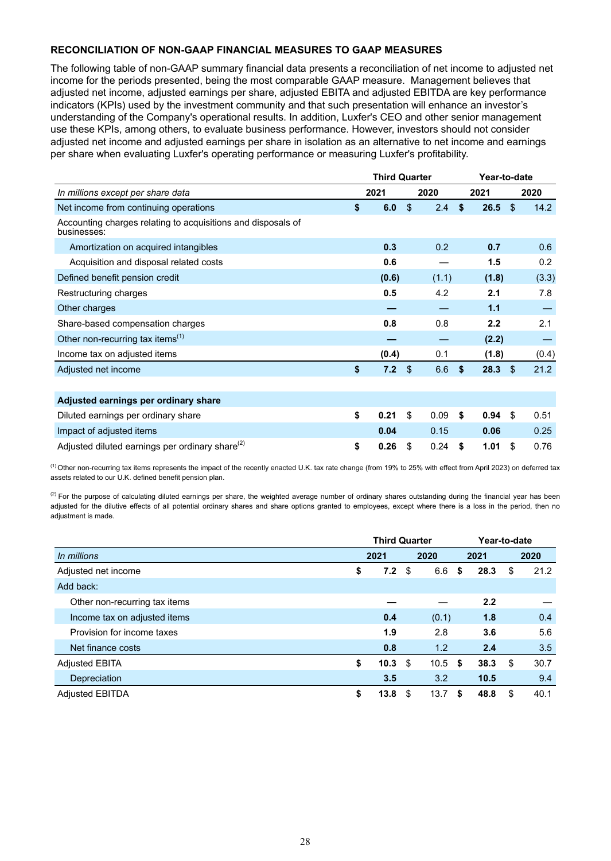## **RECONCILIATION OF NON-GAAP FINANCIAL MEASURES TO GAAP MEASURES**

The following table of non-GAAP summary financial data presents a reconciliation of net income to adjusted net income for the periods presented, being the most comparable GAAP measure. Management believes that adjusted net income, adjusted earnings per share, adjusted EBITA and adjusted EBITDA are key performance indicators (KPIs) used by the investment community and that such presentation will enhance an investor's understanding of the Company's operational results. In addition, Luxfer's CEO and other senior management use these KPIs, among others, to evaluate business performance. However, investors should not consider adjusted net income and adjusted earnings per share in isolation as an alternative to net income and earnings per share when evaluating Luxfer's operating performance or measuring Luxfer's profitability.

|                                                                             |      | <b>Third Quarter</b> |                |               |    | Year-to-date |      |       |
|-----------------------------------------------------------------------------|------|----------------------|----------------|---------------|----|--------------|------|-------|
| In millions except per share data                                           | 2021 |                      |                | 2020          |    | 2021         |      | 2020  |
| Net income from continuing operations                                       | \$   | 6.0                  | $\mathfrak{L}$ | $2.4^{\circ}$ | Ŝ. | 26.5         | \$   | 14.2  |
| Accounting charges relating to acquisitions and disposals of<br>businesses: |      |                      |                |               |    |              |      |       |
| Amortization on acquired intangibles                                        |      | 0.3                  |                | 0.2           |    | 0.7          |      | 0.6   |
| Acquisition and disposal related costs                                      |      | 0.6                  |                |               |    | 1.5          |      | 0.2   |
| Defined benefit pension credit                                              |      | (0.6)                |                | (1.1)         |    | (1.8)        |      | (3.3) |
| Restructuring charges                                                       |      | 0.5                  |                | 4.2           |    | 2.1          |      | 7.8   |
| Other charges                                                               |      |                      |                |               |    | 1.1          |      |       |
| Share-based compensation charges                                            |      | 0.8                  |                | 0.8           |    | 2.2          |      | 2.1   |
| Other non-recurring tax items $^{(1)}$                                      |      |                      |                |               |    | (2.2)        |      |       |
| Income tax on adjusted items                                                |      | (0.4)                |                | 0.1           |    | (1.8)        |      | (0.4) |
| Adjusted net income                                                         | \$   | 7.2                  | $\mathfrak{L}$ | 6.6           | \$ | 28.3         | - \$ | 21.2  |
|                                                                             |      |                      |                |               |    |              |      |       |
| Adjusted earnings per ordinary share                                        |      |                      |                |               |    |              |      |       |
| Diluted earnings per ordinary share                                         | \$   | 0.21                 | \$             | 0.09          | \$ | 0.94         | \$   | 0.51  |
| Impact of adjusted items                                                    |      | 0.04                 |                | 0.15          |    | 0.06         |      | 0.25  |
| Adjusted diluted earnings per ordinary share <sup>(2)</sup>                 | \$   | 0.26                 | \$             | 0.24          | \$ | 1.01         | \$   | 0.76  |

<sup>(1)</sup> Other non-recurring tax items represents the impact of the recently enacted U.K. tax rate change (from 19% to 25% with effect from April 2023) on deferred tax assets related to our U.K. defined benefit pension plan.

 $^{(2)}$  For the purpose of calculating diluted earnings per share, the weighted average number of ordinary shares outstanding during the financial year has been adjusted for the dilutive effects of all potential ordinary shares and share options granted to employees, except where there is a loss in the period, then no adjustment is made.

|                               |    | <b>Third Quarter</b> |     | Year-to-date |    |      |    |      |
|-------------------------------|----|----------------------|-----|--------------|----|------|----|------|
| In millions                   |    | 2021                 |     | 2020         |    | 2021 |    | 2020 |
| Adjusted net income           | \$ | 7.2                  | \$  | 6.6          | \$ | 28.3 | \$ | 21.2 |
| Add back:                     |    |                      |     |              |    |      |    |      |
| Other non-recurring tax items |    |                      |     |              |    | 2.2  |    |      |
| Income tax on adjusted items  |    | 0.4                  |     | (0.1)        |    | 1.8  |    | 0.4  |
| Provision for income taxes    |    | 1.9                  |     | 2.8          |    | 3.6  |    | 5.6  |
| Net finance costs             |    | 0.8                  |     | 1.2          |    | 2.4  |    | 3.5  |
| <b>Adjusted EBITA</b>         | \$ | 10.3                 | \$  | $10.5$ \$    |    | 38.3 | \$ | 30.7 |
| Depreciation                  |    | 3.5                  |     | 3.2          |    | 10.5 |    | 9.4  |
| <b>Adjusted EBITDA</b>        | S  | 13.8                 | \$. | 13.7         | S  | 48.8 | \$ | 40.1 |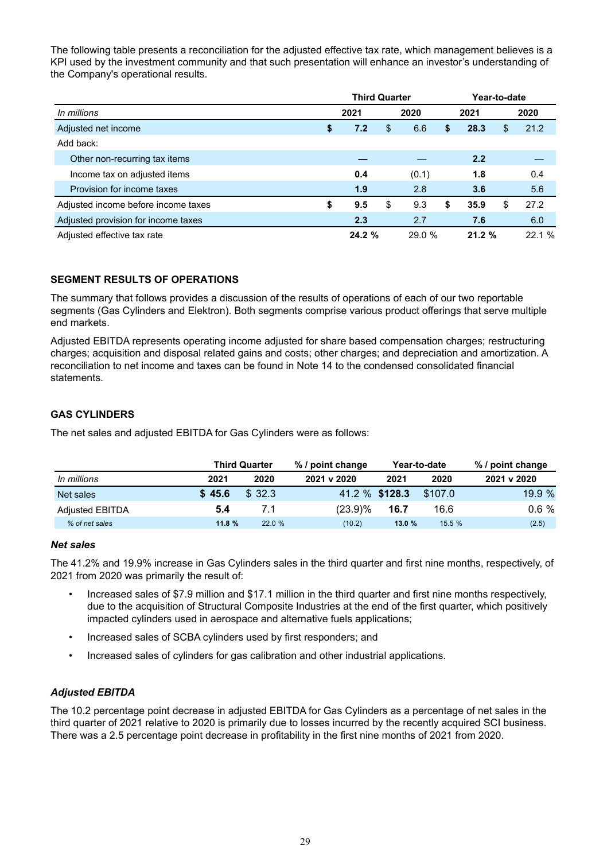The following table presents a reconciliation for the adjusted effective tax rate, which management believes is a KPI used by the investment community and that such presentation will enhance an investor's understanding of the Company's operational results.

|                                     | <b>Third Quarter</b> |     |       |       |       | Year-to-date |       |      |  |
|-------------------------------------|----------------------|-----|-------|-------|-------|--------------|-------|------|--|
| In millions                         | 2021                 |     | 2020  |       |       | 2021         |       | 2020 |  |
| Adjusted net income                 | \$                   | 7.2 | \$    | 6.6   | S     | 28.3         | S     | 21.2 |  |
| Add back:                           |                      |     |       |       |       |              |       |      |  |
| Other non-recurring tax items       |                      |     |       |       |       | 2.2          |       |      |  |
| Income tax on adjusted items        |                      | 0.4 |       | (0.1) |       | 1.8          |       | 0.4  |  |
| Provision for income taxes          |                      | 1.9 |       | 2.8   |       | 3.6          |       | 5.6  |  |
| Adjusted income before income taxes | S                    | 9.5 | \$    | 9.3   | \$    | 35.9         | S     | 27.2 |  |
| Adjusted provision for income taxes |                      | 2.3 |       | 2.7   |       | 7.6          |       | 6.0  |  |
| Adjusted effective tax rate         | 24.2%                |     | 29.0% |       | 21.2% |              | 22.1% |      |  |

## **SEGMENT RESULTS OF OPERATIONS**

The summary that follows provides a discussion of the results of operations of each of our two reportable segments (Gas Cylinders and Elektron). Both segments comprise various product offerings that serve multiple end markets.

Adjusted EBITDA represents operating income adjusted for share based compensation charges; restructuring charges; acquisition and disposal related gains and costs; other charges; and depreciation and amortization. A reconciliation to net income and taxes can be found in Note 14 to the condensed consolidated financial statements.

## **GAS CYLINDERS**

The net sales and adjusted EBITDA for Gas Cylinders were as follows:

|                        |        | <b>Third Quarter</b> | % / point change |                | Year-to-date | % / point change |
|------------------------|--------|----------------------|------------------|----------------|--------------|------------------|
| In millions            | 2021   | 2020                 | 2021 v 2020      | 2021           | 2020         | 2021 v 2020      |
| Net sales              | \$45.6 | \$32.3               |                  | 41.2 % \$128.3 | \$107.0      | 19.9 %           |
| <b>Adjusted EBITDA</b> | 5.4    | 7.1                  | $(23.9)\%$       | 16.7           | 16.6         | 0.6%             |
| % of net sales         | 11.8%  | 22.0%                | (10.2)           | 13.0%          | 15.5%        | (2.5)            |

#### *Net sales*

The 41.2% and 19.9% increase in Gas Cylinders sales in the third quarter and first nine months, respectively, of 2021 from 2020 was primarily the result of:

- Increased sales of \$7.9 million and \$17.1 million in the third quarter and first nine months respectively, due to the acquisition of Structural Composite Industries at the end of the first quarter, which positively impacted cylinders used in aerospace and alternative fuels applications;
- Increased sales of SCBA cylinders used by first responders; and
- Increased sales of cylinders for gas calibration and other industrial applications.

#### *Adjusted EBITDA*

The 10.2 percentage point decrease in adjusted EBITDA for Gas Cylinders as a percentage of net sales in the third quarter of 2021 relative to 2020 is primarily due to losses incurred by the recently acquired SCI business. There was a 2.5 percentage point decrease in profitability in the first nine months of 2021 from 2020.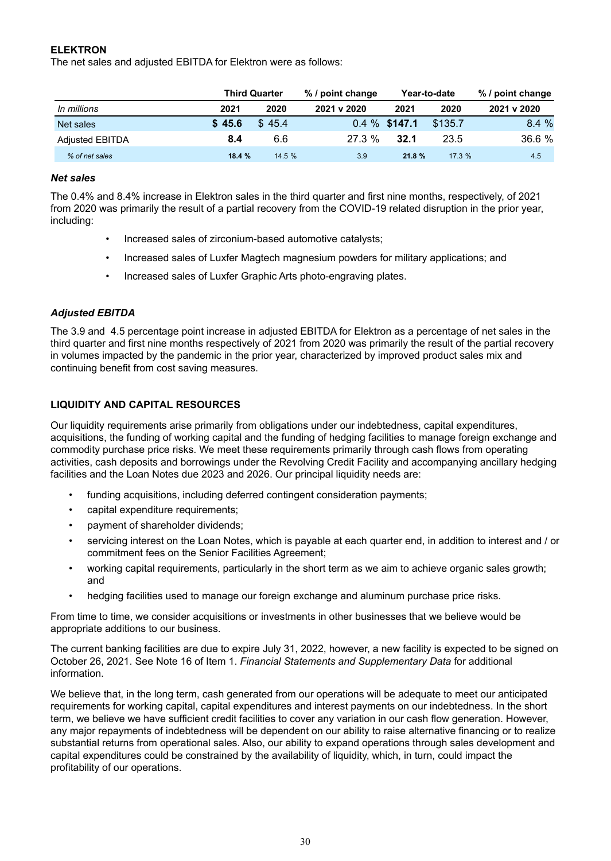## **ELEKTRON**

The net sales and adjusted EBITDA for Elektron were as follows:

|                        |        | <b>Third Quarter</b> | % / point change |                 | Year-to-date | % / point change |  |  |  |
|------------------------|--------|----------------------|------------------|-----------------|--------------|------------------|--|--|--|
| In millions            | 2021   | 2020                 | 2021 v 2020      | 2021            | 2020         | 2021 v 2020      |  |  |  |
| Net sales              | \$45.6 | \$45.4               |                  | $0.4\%$ \$147.1 | \$135.7      | 8.4%             |  |  |  |
| <b>Adjusted EBITDA</b> | 8.4    | 6.6                  | $27.3\%$         | 32.1            | 23.5         | 36.6 %           |  |  |  |
| % of net sales         | 18.4%  | 14.5%                | 3.9              | 21.8%           | 17.3%        | 4.5              |  |  |  |

#### *Net sales*

The 0.4% and 8.4% increase in Elektron sales in the third quarter and first nine months, respectively, of 2021 from 2020 was primarily the result of a partial recovery from the COVID-19 related disruption in the prior year, including:

- Increased sales of zirconium-based automotive catalysts;
- Increased sales of Luxfer Magtech magnesium powders for military applications; and
- Increased sales of Luxfer Graphic Arts photo-engraving plates.

#### *Adjusted EBITDA*

The 3.9 and 4.5 percentage point increase in adjusted EBITDA for Elektron as a percentage of net sales in the third quarter and first nine months respectively of 2021 from 2020 was primarily the result of the partial recovery in volumes impacted by the pandemic in the prior year, characterized by improved product sales mix and continuing benefit from cost saving measures.

#### **LIQUIDITY AND CAPITAL RESOURCES**

Our liquidity requirements arise primarily from obligations under our indebtedness, capital expenditures, acquisitions, the funding of working capital and the funding of hedging facilities to manage foreign exchange and commodity purchase price risks. We meet these requirements primarily through cash flows from operating activities, cash deposits and borrowings under the Revolving Credit Facility and accompanying ancillary hedging facilities and the Loan Notes due 2023 and 2026. Our principal liquidity needs are:

- funding acquisitions, including deferred contingent consideration payments;
- capital expenditure requirements;
- payment of shareholder dividends;
- servicing interest on the Loan Notes, which is payable at each quarter end, in addition to interest and / or commitment fees on the Senior Facilities Agreement;
- working capital requirements, particularly in the short term as we aim to achieve organic sales growth; and
- hedging facilities used to manage our foreign exchange and aluminum purchase price risks.

From time to time, we consider acquisitions or investments in other businesses that we believe would be appropriate additions to our business.

The current banking facilities are due to expire July 31, 2022, however, a new facility is expected to be signed on October 26, 2021. See Note 16 of Item 1. *Financial Statements and Supplementary Data* for additional information.

We believe that, in the long term, cash generated from our operations will be adequate to meet our anticipated requirements for working capital, capital expenditures and interest payments on our indebtedness. In the short term, we believe we have sufficient credit facilities to cover any variation in our cash flow generation. However, any major repayments of indebtedness will be dependent on our ability to raise alternative financing or to realize substantial returns from operational sales. Also, our ability to expand operations through sales development and capital expenditures could be constrained by the availability of liquidity, which, in turn, could impact the profitability of our operations.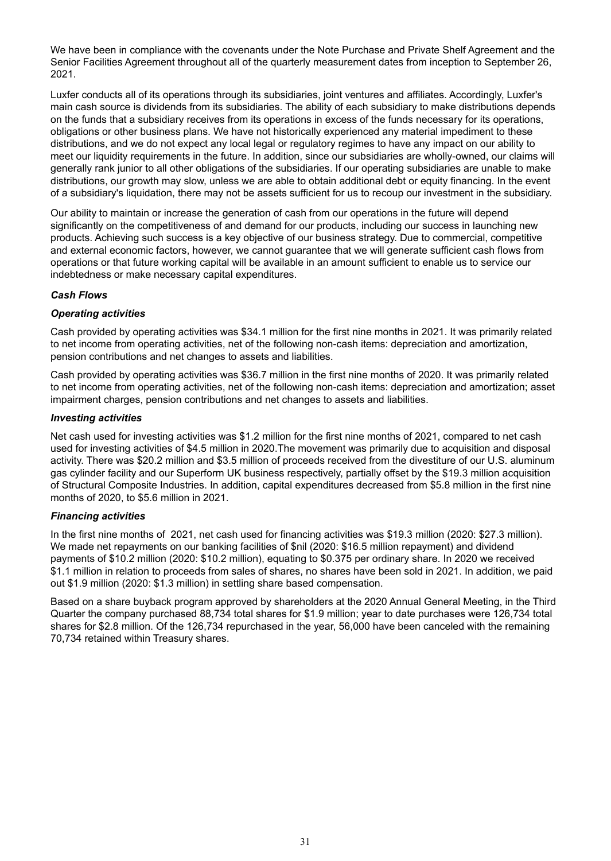We have been in compliance with the covenants under the Note Purchase and Private Shelf Agreement and the Senior Facilities Agreement throughout all of the quarterly measurement dates from inception to September 26, 2021.

Luxfer conducts all of its operations through its subsidiaries, joint ventures and affiliates. Accordingly, Luxfer's main cash source is dividends from its subsidiaries. The ability of each subsidiary to make distributions depends on the funds that a subsidiary receives from its operations in excess of the funds necessary for its operations, obligations or other business plans. We have not historically experienced any material impediment to these distributions, and we do not expect any local legal or regulatory regimes to have any impact on our ability to meet our liquidity requirements in the future. In addition, since our subsidiaries are wholly-owned, our claims will generally rank junior to all other obligations of the subsidiaries. If our operating subsidiaries are unable to make distributions, our growth may slow, unless we are able to obtain additional debt or equity financing. In the event of a subsidiary's liquidation, there may not be assets sufficient for us to recoup our investment in the subsidiary.

Our ability to maintain or increase the generation of cash from our operations in the future will depend significantly on the competitiveness of and demand for our products, including our success in launching new products. Achieving such success is a key objective of our business strategy. Due to commercial, competitive and external economic factors, however, we cannot guarantee that we will generate sufficient cash flows from operations or that future working capital will be available in an amount sufficient to enable us to service our indebtedness or make necessary capital expenditures.

#### *Cash Flows*

## *Operating activities*

Cash provided by operating activities was \$34.1 million for the first nine months in 2021. It was primarily related to net income from operating activities, net of the following non-cash items: depreciation and amortization, pension contributions and net changes to assets and liabilities.

Cash provided by operating activities was \$36.7 million in the first nine months of 2020. It was primarily related to net income from operating activities, net of the following non-cash items: depreciation and amortization; asset impairment charges, pension contributions and net changes to assets and liabilities.

#### *Investing activities*

Net cash used for investing activities was \$1.2 million for the first nine months of 2021, compared to net cash used for investing activities of \$4.5 million in 2020.The movement was primarily due to acquisition and disposal activity. There was \$20.2 million and \$3.5 million of proceeds received from the divestiture of our U.S. aluminum gas cylinder facility and our Superform UK business respectively, partially offset by the \$19.3 million acquisition of Structural Composite Industries. In addition, capital expenditures decreased from \$5.8 million in the first nine months of 2020, to \$5.6 million in 2021.

#### *Financing activities*

In the first nine months of 2021, net cash used for financing activities was \$19.3 million (2020: \$27.3 million). We made net repayments on our banking facilities of \$nil (2020: \$16.5 million repayment) and dividend payments of \$10.2 million (2020: \$10.2 million), equating to \$0.375 per ordinary share. In 2020 we received \$1.1 million in relation to proceeds from sales of shares, no shares have been sold in 2021. In addition, we paid out \$1.9 million (2020: \$1.3 million) in settling share based compensation.

Based on a share buyback program approved by shareholders at the 2020 Annual General Meeting, in the Third Quarter the company purchased 88,734 total shares for \$1.9 million; year to date purchases were 126,734 total shares for \$2.8 million. Of the 126,734 repurchased in the year, 56,000 have been canceled with the remaining 70,734 retained within Treasury shares.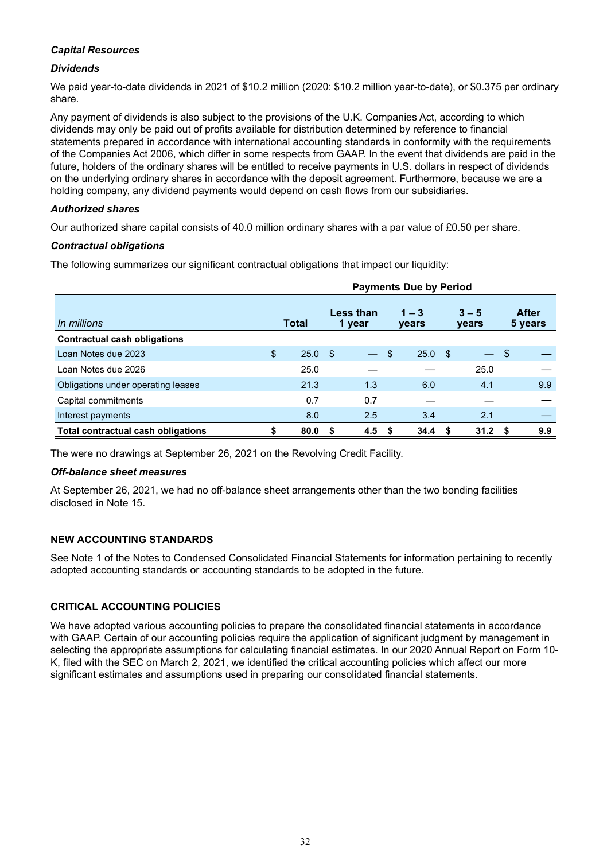#### *Capital Resources*

#### *Dividends*

We paid year-to-date dividends in 2021 of \$10.2 million (2020: \$10.2 million year-to-date), or \$0.375 per ordinary share.

Any payment of dividends is also subject to the provisions of the U.K. Companies Act, according to which dividends may only be paid out of profits available for distribution determined by reference to financial statements prepared in accordance with international accounting standards in conformity with the requirements of the Companies Act 2006, which differ in some respects from GAAP. In the event that dividends are paid in the future, holders of the ordinary shares will be entitled to receive payments in U.S. dollars in respect of dividends on the underlying ordinary shares in accordance with the deposit agreement. Furthermore, because we are a holding company, any dividend payments would depend on cash flows from our subsidiaries.

#### *Authorized shares*

Our authorized share capital consists of 40.0 million ordinary shares with a par value of £0.50 per share.

#### *Contractual obligations*

The following summarizes our significant contractual obligations that impact our liquidity:

|                                     |              | <b>Payments Due by Period</b> |                     |                  |                         |      |                         |                   |                         |     |  |  |
|-------------------------------------|--------------|-------------------------------|---------------------|------------------|-------------------------|------|-------------------------|-------------------|-------------------------|-----|--|--|
| In millions                         | <b>Total</b> |                               | Less than<br>1 year |                  | $1 - 3$<br><b>vears</b> |      | $3 - 5$<br><b>vears</b> |                   | <b>After</b><br>5 years |     |  |  |
| <b>Contractual cash obligations</b> |              |                               |                     |                  |                         |      |                         |                   |                         |     |  |  |
| Loan Notes due 2023                 | \$           | 25.0                          | -\$                 |                  | \$                      | 25.0 | - \$                    | $\qquad \qquad -$ | -\$                     |     |  |  |
| Loan Notes due 2026                 |              | 25.0                          |                     |                  |                         |      |                         | 25.0              |                         |     |  |  |
| Obligations under operating leases  |              | 21.3                          |                     | 1.3              |                         | 6.0  |                         | 4.1               |                         | 9.9 |  |  |
| Capital commitments                 |              | 0.7                           |                     | 0.7              |                         |      |                         |                   |                         |     |  |  |
| Interest payments                   |              | 8.0                           |                     | 2.5              |                         | 3.4  |                         | 2.1               |                         |     |  |  |
| Total contractual cash obligations  |              | 80.0                          | S                   | 4.5 <sup>5</sup> |                         | 34.4 | - 56                    | 31.2              | - 5                     | 9.9 |  |  |

The were no drawings at September 26, 2021 on the Revolving Credit Facility.

#### *Off-balance sheet measures*

At September 26, 2021, we had no off-balance sheet arrangements other than the two bonding facilities disclosed in Note 15.

#### **NEW ACCOUNTING STANDARDS**

See Note 1 of the Notes to Condensed Consolidated Financial Statements for information pertaining to recently adopted accounting standards or accounting standards to be adopted in the future.

#### **CRITICAL ACCOUNTING POLICIES**

We have adopted various accounting policies to prepare the consolidated financial statements in accordance with GAAP. Certain of our accounting policies require the application of significant judgment by management in selecting the appropriate assumptions for calculating financial estimates. In our 2020 Annual Report on Form 10- K, filed with the SEC on March 2, 2021, we identified the critical accounting policies which affect our more significant estimates and assumptions used in preparing our consolidated financial statements.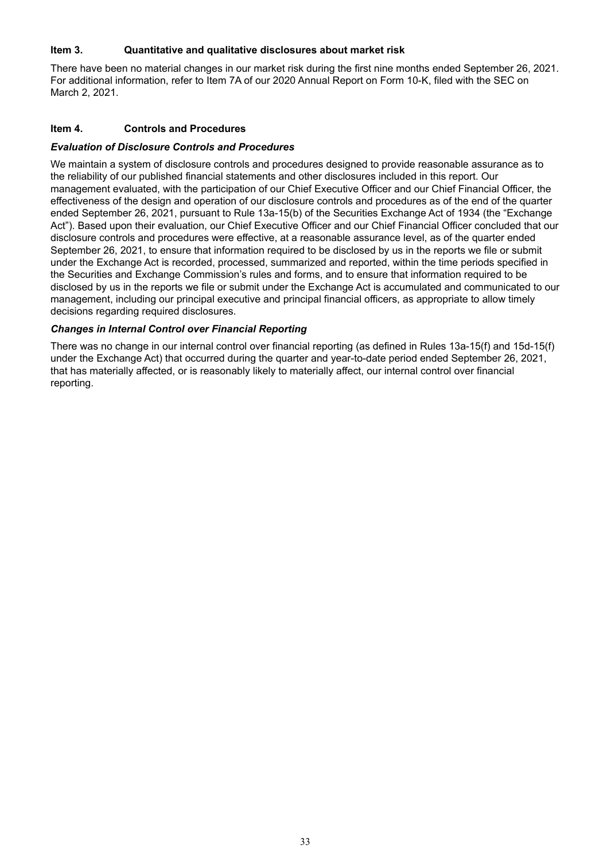#### **Item 3. Quantitative and qualitative disclosures about market risk**

There have been no material changes in our market risk during the first nine months ended September 26, 2021. For additional information, refer to Item 7A of our 2020 Annual Report on Form 10-K, filed with the SEC on March 2, 2021.

#### **Item 4. Controls and Procedures**

#### *Evaluation of Disclosure Controls and Procedures*

We maintain a system of disclosure controls and procedures designed to provide reasonable assurance as to the reliability of our published financial statements and other disclosures included in this report. Our management evaluated, with the participation of our Chief Executive Officer and our Chief Financial Officer, the effectiveness of the design and operation of our disclosure controls and procedures as of the end of the quarter ended September 26, 2021, pursuant to Rule 13a-15(b) of the Securities Exchange Act of 1934 (the "Exchange Act"). Based upon their evaluation, our Chief Executive Officer and our Chief Financial Officer concluded that our disclosure controls and procedures were effective, at a reasonable assurance level, as of the quarter ended September 26, 2021, to ensure that information required to be disclosed by us in the reports we file or submit under the Exchange Act is recorded, processed, summarized and reported, within the time periods specified in the Securities and Exchange Commission's rules and forms, and to ensure that information required to be disclosed by us in the reports we file or submit under the Exchange Act is accumulated and communicated to our management, including our principal executive and principal financial officers, as appropriate to allow timely decisions regarding required disclosures.

#### *Changes in Internal Control over Financial Reporting*

There was no change in our internal control over financial reporting (as defined in Rules 13a-15(f) and 15d-15(f) under the Exchange Act) that occurred during the quarter and year-to-date period ended September 26, 2021, that has materially affected, or is reasonably likely to materially affect, our internal control over financial reporting.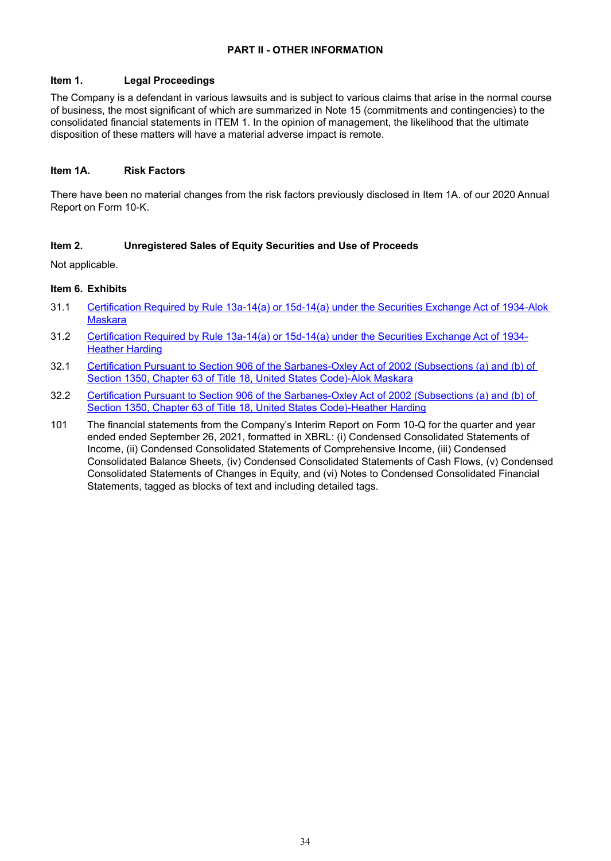## **PART II - OTHER INFORMATION**

#### **Item 1. Legal Proceedings**

The Company is a defendant in various lawsuits and is subject to various claims that arise in the normal course of business, the most significant of which are summarized in Note 15 (commitments and contingencies) to the consolidated financial statements in ITEM 1. In the opinion of management, the likelihood that the ultimate disposition of these matters will have a material adverse impact is remote.

#### **Item 1A. Risk Factors**

There have been no material changes from the risk factors previously disclosed in Item 1A. of our 2020 Annual Report on Form 10-K.

#### **Item 2. Unregistered Sales of Equity Securities and Use of Proceeds**

Not applicable.

#### **Item 6. Exhibits**

- 31.1 [Certification Required by Rule 13a-14\(a\) or 15d-14\(a\) under the Securities Exchange Act of 1934-Alok](wurl://docs.v1/doc:eaadc5d76bed4576a42b4f3eb546ac42)  **[Maskara](wurl://docs.v1/doc:eaadc5d76bed4576a42b4f3eb546ac42)**
- 31.2 [Certification Required by Rule 13a-14\(a\) or 15d-14\(a\) under the Securities Exchange Act of 1934-](wurl://docs.v1/doc:6459dee9eee9492499c9a02d9d3c4d95) [Heather Harding](wurl://docs.v1/doc:6459dee9eee9492499c9a02d9d3c4d95)
- 32.1 Certification Pursuant to Section 906 of the Sarbanes-Oxley Act of 2002 (Subsections (a) and (b) of [Section 1350, Chapter 63 of Title 18, United States Code\)-Alok Maskara](wurl://docs.v1/doc:c4ef9033cd424d93b29b702b2f52d75f)
- 32.2 [Certification Pursuant to Section 906 of the Sarbanes-Oxley Act of 2002 \(Subsections \(a\) and \(b\) of](wurl://docs.v1/doc:5891a06ac6f1438fa624df04e4b00005)  [Section 1350, Chapter 63 of Title 18, United States Code\)-Heather Harding](wurl://docs.v1/doc:5891a06ac6f1438fa624df04e4b00005)
- 101 The financial statements from the Company's Interim Report on Form 10-Q for the quarter and year ended ended September 26, 2021, formatted in XBRL: (i) Condensed Consolidated Statements of Income, (ii) Condensed Consolidated Statements of Comprehensive Income, (iii) Condensed Consolidated Balance Sheets, (iv) Condensed Consolidated Statements of Cash Flows, (v) Condensed Consolidated Statements of Changes in Equity, and (vi) Notes to Condensed Consolidated Financial Statements, tagged as blocks of text and including detailed tags.